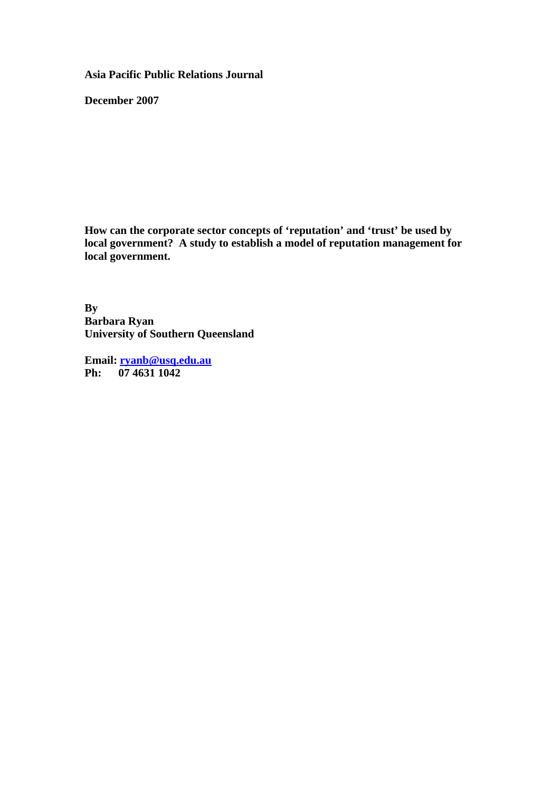**Asia Pacific Public Relations Journal** 

**December 2007** 

**How can the corporate sector concepts of 'reputation' and 'trust' be used by local government? A study to establish a model of reputation management for local government.** 

**By Barbara Ryan University of Southern Queensland** 

**Email: [ryanb@usq.edu.au](mailto:ryanb@usq.edu.au) Ph: 07 4631 1042**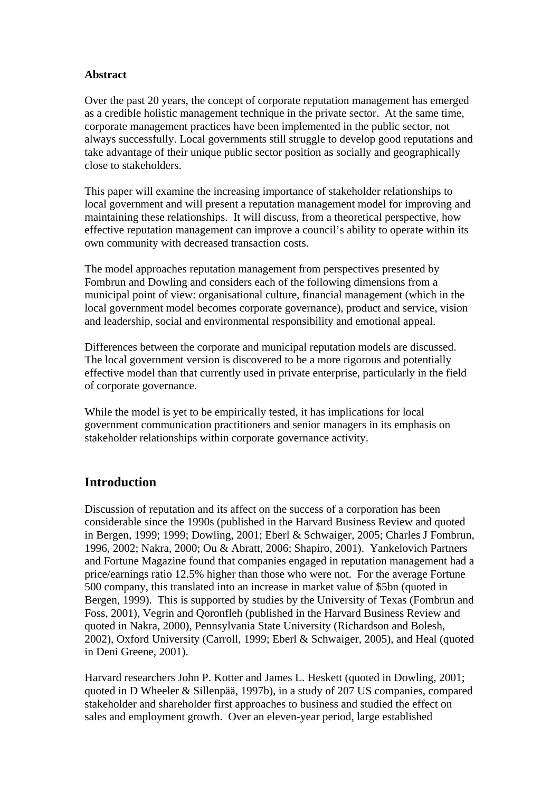## **Abstract**

Over the past 20 years, the concept of corporate reputation management has emerged as a credible holistic management technique in the private sector. At the same time, corporate management practices have been implemented in the public sector, not always successfully. Local governments still struggle to develop good reputations and take advantage of their unique public sector position as socially and geographically close to stakeholders.

This paper will examine the increasing importance of stakeholder relationships to local government and will present a reputation management model for improving and maintaining these relationships. It will discuss, from a theoretical perspective, how effective reputation management can improve a council's ability to operate within its own community with decreased transaction costs.

The model approaches reputation management from perspectives presented by Fombrun and Dowling and considers each of the following dimensions from a municipal point of view: organisational culture, financial management (which in the local government model becomes corporate governance), product and service, vision and leadership, social and environmental responsibility and emotional appeal.

Differences between the corporate and municipal reputation models are discussed. The local government version is discovered to be a more rigorous and potentially effective model than that currently used in private enterprise, particularly in the field of corporate governance.

While the model is yet to be empirically tested, it has implications for local government communication practitioners and senior managers in its emphasis on stakeholder relationships within corporate governance activity.

# **Introduction**

Discussion of reputation and its affect on the success of a corporation has been considerable since the 1990s (published in the Harvard Business Review and quoted in Bergen, 1999; 1999; Dowling, 2001; Eberl & Schwaiger, 2005; Charles J Fombrun, 1996, 2002; Nakra, 2000; Ou & Abratt, 2006; Shapiro, 2001). Yankelovich Partners and Fortune Magazine found that companies engaged in reputation management had a price/earnings ratio 12.5% higher than those who were not. For the average Fortune 500 company, this translated into an increase in market value of \$5bn (quoted in Bergen, 1999). This is supported by studies by the University of Texas (Fombrun and Foss, 2001), Vegrin and Qoronfleh (published in the Harvard Business Review and quoted in Nakra, 2000), Pennsylvania State University (Richardson and Bolesh, 2002), Oxford University (Carroll, 1999; Eberl & Schwaiger, 2005), and Heal (quoted in Deni Greene, 2001).

Harvard researchers John P. Kotter and James L. Heskett (quoted in Dowling, 2001; quoted in D Wheeler & Sillenpää, 1997b), in a study of 207 US companies, compared stakeholder and shareholder first approaches to business and studied the effect on sales and employment growth. Over an eleven-year period, large established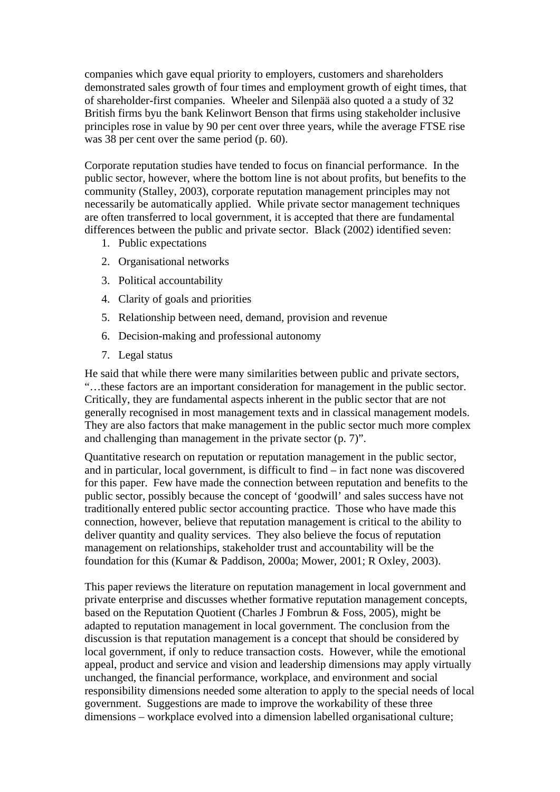companies which gave equal priority to employers, customers and shareholders demonstrated sales growth of four times and employment growth of eight times, that of shareholder-first companies. Wheeler and Silenpää also quoted a a study of 32 British firms byu the bank Kelinwort Benson that firms using stakeholder inclusive principles rose in value by 90 per cent over three years, while the average FTSE rise was 38 per cent over the same period (p. 60).

Corporate reputation studies have tended to focus on financial performance. In the public sector, however, where the bottom line is not about profits, but benefits to the community (Stalley, 2003), corporate reputation management principles may not necessarily be automatically applied. While private sector management techniques are often transferred to local government, it is accepted that there are fundamental differences between the public and private sector. Black (2002) identified seven:

- 1. Public expectations
- 2. Organisational networks
- 3. Political accountability
- 4. Clarity of goals and priorities
- 5. Relationship between need, demand, provision and revenue
- 6. Decision-making and professional autonomy
- 7. Legal status

He said that while there were many similarities between public and private sectors, "…these factors are an important consideration for management in the public sector. Critically, they are fundamental aspects inherent in the public sector that are not generally recognised in most management texts and in classical management models. They are also factors that make management in the public sector much more complex and challenging than management in the private sector (p. 7)".

Quantitative research on reputation or reputation management in the public sector, and in particular, local government, is difficult to find – in fact none was discovered for this paper. Few have made the connection between reputation and benefits to the public sector, possibly because the concept of 'goodwill' and sales success have not traditionally entered public sector accounting practice. Those who have made this connection, however, believe that reputation management is critical to the ability to deliver quantity and quality services. They also believe the focus of reputation management on relationships, stakeholder trust and accountability will be the foundation for this (Kumar & Paddison, 2000a; Mower, 2001; R Oxley, 2003).

This paper reviews the literature on reputation management in local government and private enterprise and discusses whether formative reputation management concepts, based on the Reputation Quotient (Charles J Fombrun & Foss, 2005), might be adapted to reputation management in local government. The conclusion from the discussion is that reputation management is a concept that should be considered by local government, if only to reduce transaction costs. However, while the emotional appeal, product and service and vision and leadership dimensions may apply virtually unchanged, the financial performance, workplace, and environment and social responsibility dimensions needed some alteration to apply to the special needs of local government. Suggestions are made to improve the workability of these three dimensions – workplace evolved into a dimension labelled organisational culture;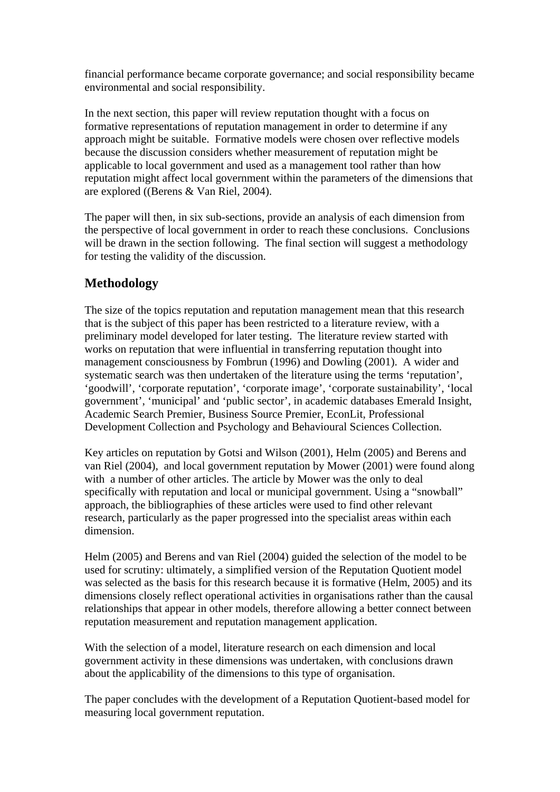financial performance became corporate governance; and social responsibility became environmental and social responsibility.

In the next section, this paper will review reputation thought with a focus on formative representations of reputation management in order to determine if any approach might be suitable. Formative models were chosen over reflective models because the discussion considers whether measurement of reputation might be applicable to local government and used as a management tool rather than how reputation might affect local government within the parameters of the dimensions that are explored ((Berens & Van Riel, 2004).

The paper will then, in six sub-sections, provide an analysis of each dimension from the perspective of local government in order to reach these conclusions. Conclusions will be drawn in the section following. The final section will suggest a methodology for testing the validity of the discussion.

# **Methodology**

The size of the topics reputation and reputation management mean that this research that is the subject of this paper has been restricted to a literature review, with a preliminary model developed for later testing. The literature review started with works on reputation that were influential in transferring reputation thought into management consciousness by Fombrun (1996) and Dowling (2001). A wider and systematic search was then undertaken of the literature using the terms 'reputation', 'goodwill', 'corporate reputation', 'corporate image', 'corporate sustainability', 'local government', 'municipal' and 'public sector', in academic databases Emerald Insight, Academic Search Premier, Business Source Premier, EconLit, Professional Development Collection and Psychology and Behavioural Sciences Collection.

Key articles on reputation by Gotsi and Wilson (2001), Helm (2005) and Berens and van Riel (2004), and local government reputation by Mower (2001) were found along with a number of other articles. The article by Mower was the only to deal specifically with reputation and local or municipal government. Using a "snowball" approach, the bibliographies of these articles were used to find other relevant research, particularly as the paper progressed into the specialist areas within each dimension.

Helm (2005) and Berens and van Riel (2004) guided the selection of the model to be used for scrutiny: ultimately, a simplified version of the Reputation Quotient model was selected as the basis for this research because it is formative (Helm, 2005) and its dimensions closely reflect operational activities in organisations rather than the causal relationships that appear in other models, therefore allowing a better connect between reputation measurement and reputation management application.

With the selection of a model, literature research on each dimension and local government activity in these dimensions was undertaken, with conclusions drawn about the applicability of the dimensions to this type of organisation.

The paper concludes with the development of a Reputation Quotient-based model for measuring local government reputation.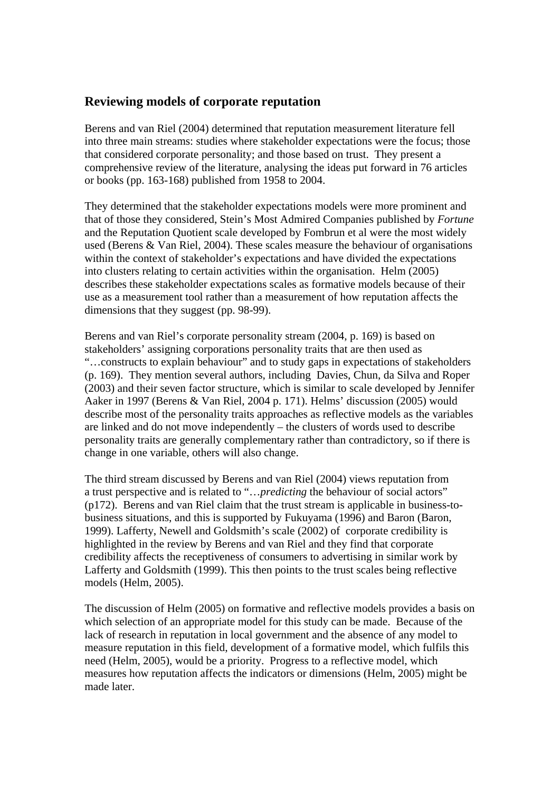## **Reviewing models of corporate reputation**

Berens and van Riel (2004) determined that reputation measurement literature fell into three main streams: studies where stakeholder expectations were the focus; those that considered corporate personality; and those based on trust. They present a comprehensive review of the literature, analysing the ideas put forward in 76 articles or books (pp. 163-168) published from 1958 to 2004.

They determined that the stakeholder expectations models were more prominent and that of those they considered, Stein's Most Admired Companies published by *Fortune* and the Reputation Quotient scale developed by Fombrun et al were the most widely used (Berens & Van Riel, 2004). These scales measure the behaviour of organisations within the context of stakeholder's expectations and have divided the expectations into clusters relating to certain activities within the organisation. Helm (2005) describes these stakeholder expectations scales as formative models because of their use as a measurement tool rather than a measurement of how reputation affects the dimensions that they suggest (pp. 98-99).

Berens and van Riel's corporate personality stream (2004, p. 169) is based on stakeholders' assigning corporations personality traits that are then used as "…constructs to explain behaviour" and to study gaps in expectations of stakeholders (p. 169). They mention several authors, including Davies, Chun, da Silva and Roper (2003) and their seven factor structure, which is similar to scale developed by Jennifer Aaker in 1997 (Berens & Van Riel, 2004 p. 171). Helms' discussion (2005) would describe most of the personality traits approaches as reflective models as the variables are linked and do not move independently – the clusters of words used to describe personality traits are generally complementary rather than contradictory, so if there is change in one variable, others will also change.

The third stream discussed by Berens and van Riel (2004) views reputation from a trust perspective and is related to "…*predicting* the behaviour of social actors" (p172). Berens and van Riel claim that the trust stream is applicable in business-tobusiness situations, and this is supported by Fukuyama (1996) and Baron (Baron, 1999). Lafferty, Newell and Goldsmith's scale (2002) of corporate credibility is highlighted in the review by Berens and van Riel and they find that corporate credibility affects the receptiveness of consumers to advertising in similar work by Lafferty and Goldsmith (1999). This then points to the trust scales being reflective models (Helm, 2005).

The discussion of Helm (2005) on formative and reflective models provides a basis on which selection of an appropriate model for this study can be made. Because of the lack of research in reputation in local government and the absence of any model to measure reputation in this field, development of a formative model, which fulfils this need (Helm, 2005), would be a priority. Progress to a reflective model, which measures how reputation affects the indicators or dimensions (Helm, 2005) might be made later.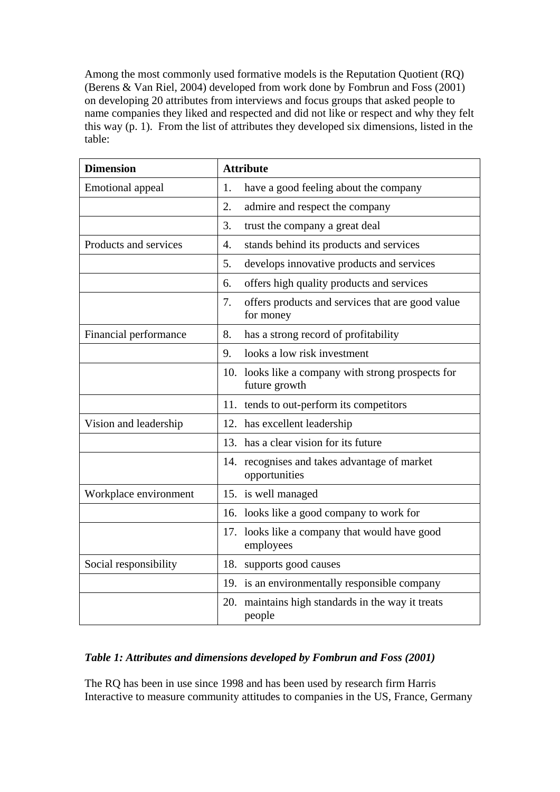Among the most commonly used formative models is the Reputation Quotient (RQ) (Berens & Van Riel, 2004) developed from work done by Fombrun and Foss (2001) on developing 20 attributes from interviews and focus groups that asked people to name companies they liked and respected and did not like or respect and why they felt this way (p. 1). From the list of attributes they developed six dimensions, listed in the table:

| <b>Dimension</b>        | <b>Attribute</b>                                                    |  |
|-------------------------|---------------------------------------------------------------------|--|
| <b>Emotional appeal</b> | have a good feeling about the company<br>1.                         |  |
|                         | 2.<br>admire and respect the company                                |  |
|                         | 3.<br>trust the company a great deal                                |  |
| Products and services   | stands behind its products and services<br>$\overline{4}$ .         |  |
|                         | 5.<br>develops innovative products and services                     |  |
|                         | offers high quality products and services<br>6.                     |  |
|                         | 7.<br>offers products and services that are good value<br>for money |  |
| Financial performance   | 8.<br>has a strong record of profitability                          |  |
|                         | looks a low risk investment<br>9.                                   |  |
|                         | 10. looks like a company with strong prospects for<br>future growth |  |
|                         | 11. tends to out-perform its competitors                            |  |
| Vision and leadership   | has excellent leadership<br>12.                                     |  |
|                         | has a clear vision for its future<br>13.                            |  |
|                         | 14. recognises and takes advantage of market<br>opportunities       |  |
| Workplace environment   | 15. is well managed                                                 |  |
|                         | 16. looks like a good company to work for                           |  |
|                         | 17. looks like a company that would have good<br>employees          |  |
| Social responsibility   | supports good causes<br>18.                                         |  |
|                         | 19. is an environmentally responsible company                       |  |
|                         | maintains high standards in the way it treats<br>20.<br>people      |  |

## *Table 1: Attributes and dimensions developed by Fombrun and Foss (2001)*

The RQ has been in use since 1998 and has been used by research firm Harris Interactive to measure community attitudes to companies in the US, France, Germany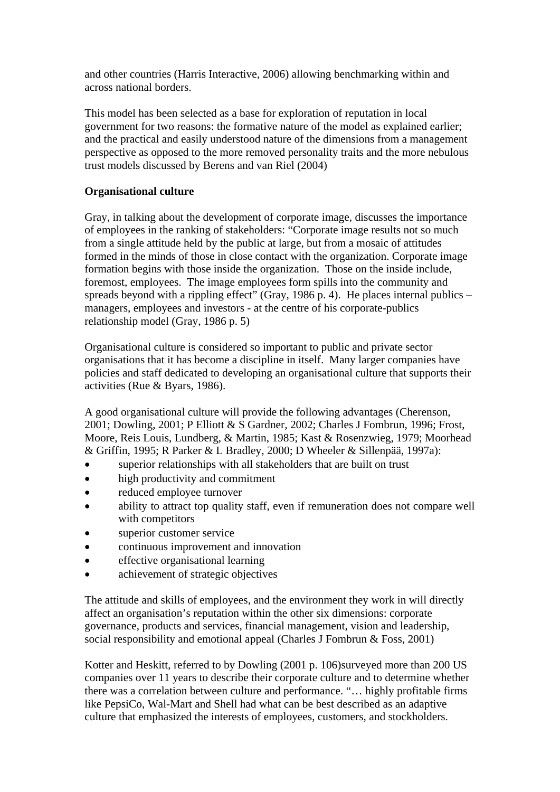and other countries (Harris Interactive, 2006) allowing benchmarking within and across national borders.

This model has been selected as a base for exploration of reputation in local government for two reasons: the formative nature of the model as explained earlier; and the practical and easily understood nature of the dimensions from a management perspective as opposed to the more removed personality traits and the more nebulous trust models discussed by Berens and van Riel (2004)

## **Organisational culture**

Gray, in talking about the development of corporate image, discusses the importance of employees in the ranking of stakeholders: "Corporate image results not so much from a single attitude held by the public at large, but from a mosaic of attitudes formed in the minds of those in close contact with the organization. Corporate image formation begins with those inside the organization. Those on the inside include, foremost, employees. The image employees form spills into the community and spreads beyond with a rippling effect" (Gray, 1986 p. 4). He places internal publics – managers, employees and investors - at the centre of his corporate-publics relationship model (Gray, 1986 p. 5)

Organisational culture is considered so important to public and private sector organisations that it has become a discipline in itself. Many larger companies have policies and staff dedicated to developing an organisational culture that supports their activities (Rue & Byars, 1986).

A good organisational culture will provide the following advantages (Cherenson, 2001; Dowling, 2001; P Elliott & S Gardner, 2002; Charles J Fombrun, 1996; Frost, Moore, Reis Louis, Lundberg, & Martin, 1985; Kast & Rosenzwieg, 1979; Moorhead & Griffin, 1995; R Parker & L Bradley, 2000; D Wheeler & Sillenpää, 1997a):

- superior relationships with all stakeholders that are built on trust
- high productivity and commitment
- reduced employee turnover
- ability to attract top quality staff, even if remuneration does not compare well with competitors
- superior customer service
- continuous improvement and innovation
- effective organisational learning
- achievement of strategic objectives

The attitude and skills of employees, and the environment they work in will directly affect an organisation's reputation within the other six dimensions: corporate governance, products and services, financial management, vision and leadership, social responsibility and emotional appeal (Charles J Fombrun & Foss, 2001)

Kotter and Heskitt, referred to by Dowling (2001 p. 106)surveyed more than 200 US companies over 11 years to describe their corporate culture and to determine whether there was a correlation between culture and performance. "… highly profitable firms like PepsiCo, Wal-Mart and Shell had what can be best described as an adaptive culture that emphasized the interests of employees, customers, and stockholders.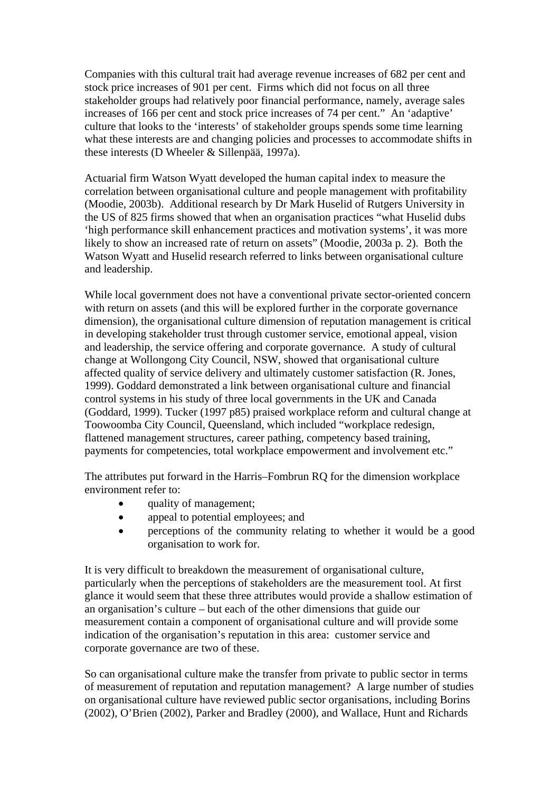Companies with this cultural trait had average revenue increases of 682 per cent and stock price increases of 901 per cent. Firms which did not focus on all three stakeholder groups had relatively poor financial performance, namely, average sales increases of 166 per cent and stock price increases of 74 per cent." An 'adaptive' culture that looks to the 'interests' of stakeholder groups spends some time learning what these interests are and changing policies and processes to accommodate shifts in these interests (D Wheeler & Sillenpää, 1997a).

Actuarial firm Watson Wyatt developed the human capital index to measure the correlation between organisational culture and people management with profitability (Moodie, 2003b). Additional research by Dr Mark Huselid of Rutgers University in the US of 825 firms showed that when an organisation practices "what Huselid dubs 'high performance skill enhancement practices and motivation systems', it was more likely to show an increased rate of return on assets" (Moodie, 2003a p. 2). Both the Watson Wyatt and Huselid research referred to links between organisational culture and leadership.

While local government does not have a conventional private sector-oriented concern with return on assets (and this will be explored further in the corporate governance dimension), the organisational culture dimension of reputation management is critical in developing stakeholder trust through customer service, emotional appeal, vision and leadership, the service offering and corporate governance. A study of cultural change at Wollongong City Council, NSW, showed that organisational culture affected quality of service delivery and ultimately customer satisfaction (R. Jones, 1999). Goddard demonstrated a link between organisational culture and financial control systems in his study of three local governments in the UK and Canada (Goddard, 1999). Tucker (1997 p85) praised workplace reform and cultural change at Toowoomba City Council, Queensland, which included "workplace redesign, flattened management structures, career pathing, competency based training, payments for competencies, total workplace empowerment and involvement etc."

The attributes put forward in the Harris–Fombrun RQ for the dimension workplace environment refer to:

- quality of management;
- appeal to potential employees; and
- perceptions of the community relating to whether it would be a good organisation to work for.

It is very difficult to breakdown the measurement of organisational culture, particularly when the perceptions of stakeholders are the measurement tool. At first glance it would seem that these three attributes would provide a shallow estimation of an organisation's culture – but each of the other dimensions that guide our measurement contain a component of organisational culture and will provide some indication of the organisation's reputation in this area: customer service and corporate governance are two of these.

So can organisational culture make the transfer from private to public sector in terms of measurement of reputation and reputation management? A large number of studies on organisational culture have reviewed public sector organisations, including Borins (2002), O'Brien (2002), Parker and Bradley (2000), and Wallace, Hunt and Richards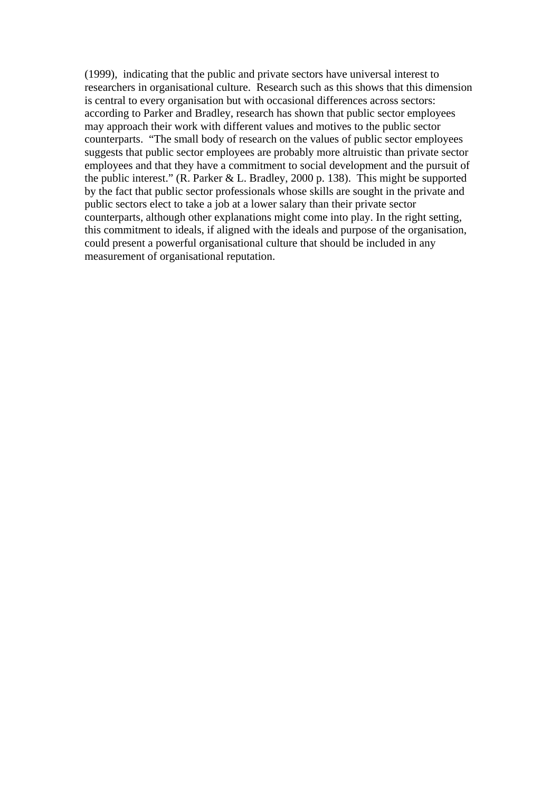(1999), indicating that the public and private sectors have universal interest to researchers in organisational culture. Research such as this shows that this dimension is central to every organisation but with occasional differences across sectors: according to Parker and Bradley, research has shown that public sector employees may approach their work with different values and motives to the public sector counterparts. "The small body of research on the values of public sector employees suggests that public sector employees are probably more altruistic than private sector employees and that they have a commitment to social development and the pursuit of the public interest." (R. Parker & L. Bradley, 2000 p. 138). This might be supported by the fact that public sector professionals whose skills are sought in the private and public sectors elect to take a job at a lower salary than their private sector counterparts, although other explanations might come into play. In the right setting, this commitment to ideals, if aligned with the ideals and purpose of the organisation, could present a powerful organisational culture that should be included in any measurement of organisational reputation.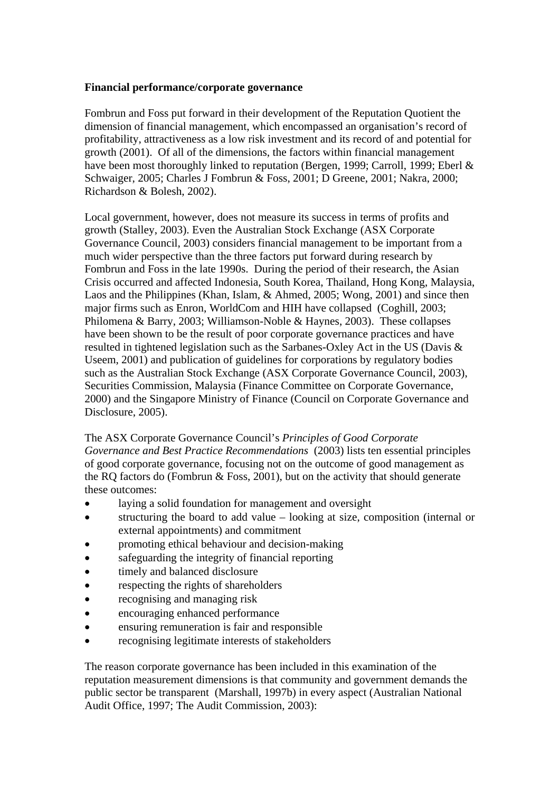#### **Financial performance/corporate governance**

Fombrun and Foss put forward in their development of the Reputation Quotient the dimension of financial management, which encompassed an organisation's record of profitability, attractiveness as a low risk investment and its record of and potential for growth (2001). Of all of the dimensions, the factors within financial management have been most thoroughly linked to reputation (Bergen, 1999; Carroll, 1999; Eberl & Schwaiger, 2005; Charles J Fombrun & Foss, 2001; D Greene, 2001; Nakra, 2000; Richardson & Bolesh, 2002).

Local government, however, does not measure its success in terms of profits and growth (Stalley, 2003). Even the Australian Stock Exchange (ASX Corporate Governance Council, 2003) considers financial management to be important from a much wider perspective than the three factors put forward during research by Fombrun and Foss in the late 1990s. During the period of their research, the Asian Crisis occurred and affected Indonesia, South Korea, Thailand, Hong Kong, Malaysia, Laos and the Philippines (Khan, Islam, & Ahmed, 2005; Wong, 2001) and since then major firms such as Enron, WorldCom and HIH have collapsed (Coghill, 2003; Philomena & Barry, 2003; Williamson-Noble & Haynes, 2003). These collapses have been shown to be the result of poor corporate governance practices and have resulted in tightened legislation such as the Sarbanes-Oxley Act in the US (Davis & Useem, 2001) and publication of guidelines for corporations by regulatory bodies such as the Australian Stock Exchange (ASX Corporate Governance Council, 2003), Securities Commission, Malaysia (Finance Committee on Corporate Governance, 2000) and the Singapore Ministry of Finance (Council on Corporate Governance and Disclosure, 2005).

The ASX Corporate Governance Council's *Principles of Good Corporate Governance and Best Practice Recommendations* (2003) lists ten essential principles of good corporate governance, focusing not on the outcome of good management as the RQ factors do (Fombrun & Foss, 2001), but on the activity that should generate these outcomes:

- laying a solid foundation for management and oversight
- structuring the board to add value looking at size, composition (internal or external appointments) and commitment
- promoting ethical behaviour and decision-making
- safeguarding the integrity of financial reporting
- timely and balanced disclosure
- respecting the rights of shareholders
- recognising and managing risk
- encouraging enhanced performance
- ensuring remuneration is fair and responsible
- recognising legitimate interests of stakeholders

The reason corporate governance has been included in this examination of the reputation measurement dimensions is that community and government demands the public sector be transparent (Marshall, 1997b) in every aspect (Australian National Audit Office, 1997; The Audit Commission, 2003):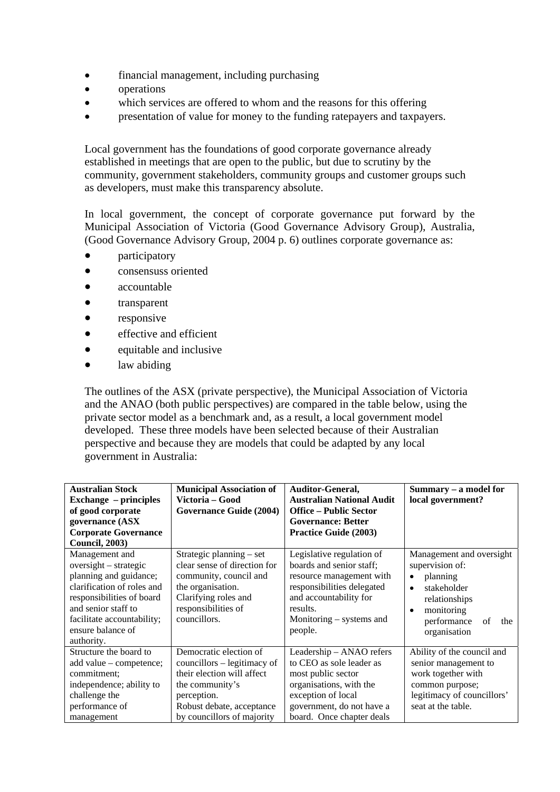- financial management, including purchasing
- operations
- which services are offered to whom and the reasons for this offering
- presentation of value for money to the funding ratepayers and taxpayers.

Local government has the foundations of good corporate governance already established in meetings that are open to the public, but due to scrutiny by the community, government stakeholders, community groups and customer groups such as developers, must make this transparency absolute.

In local government, the concept of corporate governance put forward by the Municipal Association of Victoria (Good Governance Advisory Group), Australia, (Good Governance Advisory Group, 2004 p. 6) outlines corporate governance as:

- participatory
- consensuss oriented
- accountable
- transparent
- responsive
- effective and efficient
- equitable and inclusive
- law abiding

The outlines of the ASX (private perspective), the Municipal Association of Victoria and the ANAO (both public perspectives) are compared in the table below, using the private sector model as a benchmark and, as a result, a local government model developed. These three models have been selected because of their Australian perspective and because they are models that could be adapted by any local government in Australia:

| <b>Australian Stock</b><br><b>Exchange</b> – principles<br>of good corporate<br>governance (ASX<br><b>Corporate Governance</b><br><b>Council, 2003)</b>                                                                | <b>Municipal Association of</b><br>Victoria – Good<br><b>Governance Guide (2004)</b>                                                                                             | Auditor-General,<br><b>Australian National Audit</b><br><b>Office - Public Sector</b><br><b>Governance: Better</b><br><b>Practice Guide (2003)</b>                                           | Summary – a model for<br>local government?                                                                                                                                  |
|------------------------------------------------------------------------------------------------------------------------------------------------------------------------------------------------------------------------|----------------------------------------------------------------------------------------------------------------------------------------------------------------------------------|----------------------------------------------------------------------------------------------------------------------------------------------------------------------------------------------|-----------------------------------------------------------------------------------------------------------------------------------------------------------------------------|
| Management and<br>$oversight - strategic$<br>planning and guidance;<br>clarification of roles and<br>responsibilities of board<br>and senior staff to<br>facilitate accountability;<br>ensure balance of<br>authority. | Strategic planning – set<br>clear sense of direction for<br>community, council and<br>the organisation.<br>Clarifying roles and<br>responsibilities of<br>councillors.           | Legislative regulation of<br>boards and senior staff;<br>resource management with<br>responsibilities delegated<br>and accountability for<br>results.<br>Monitoring – systems and<br>people. | Management and oversight<br>supervision of:<br>planning<br>stakeholder<br>$\bullet$<br>relationships<br>monitoring<br>$\bullet$<br>performance<br>of<br>the<br>organisation |
| Structure the board to<br>add value – competence;<br>commitment:<br>independence; ability to<br>challenge the<br>performance of<br>management                                                                          | Democratic election of<br>councillors – legitimacy of<br>their election will affect<br>the community's<br>perception.<br>Robust debate, acceptance<br>by councillors of majority | Leadership - ANAO refers<br>to CEO as sole leader as<br>most public sector<br>organisations, with the<br>exception of local<br>government, do not have a<br>board. Once chapter deals        | Ability of the council and<br>senior management to<br>work together with<br>common purpose;<br>legitimacy of councillors'<br>seat at the table.                             |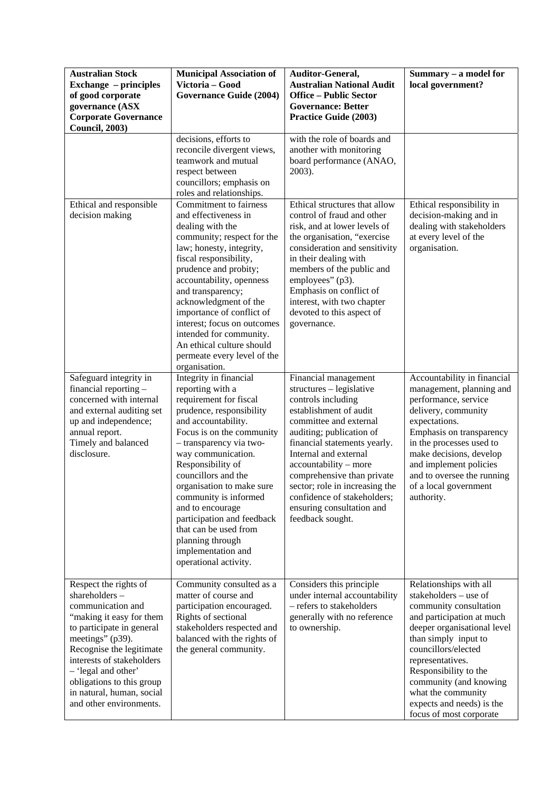| <b>Australian Stock</b><br><b>Exchange</b> – principles<br>of good corporate<br>governance (ASX<br><b>Corporate Governance</b><br><b>Council, 2003)</b>                                                                                                                                                       | <b>Municipal Association of</b><br>Victoria - Good<br><b>Governance Guide (2004)</b>                                                                                                                                                                                                                                                                                                                                                                  | Auditor-General,<br><b>Australian National Audit</b><br><b>Office – Public Sector</b><br><b>Governance: Better</b><br><b>Practice Guide (2003)</b>                                                                                                                                                                                                                                       | Summary - a model for<br>local government?                                                                                                                                                                                                                                                                                                |
|---------------------------------------------------------------------------------------------------------------------------------------------------------------------------------------------------------------------------------------------------------------------------------------------------------------|-------------------------------------------------------------------------------------------------------------------------------------------------------------------------------------------------------------------------------------------------------------------------------------------------------------------------------------------------------------------------------------------------------------------------------------------------------|------------------------------------------------------------------------------------------------------------------------------------------------------------------------------------------------------------------------------------------------------------------------------------------------------------------------------------------------------------------------------------------|-------------------------------------------------------------------------------------------------------------------------------------------------------------------------------------------------------------------------------------------------------------------------------------------------------------------------------------------|
|                                                                                                                                                                                                                                                                                                               | decisions, efforts to<br>reconcile divergent views,<br>teamwork and mutual<br>respect between<br>councillors; emphasis on<br>roles and relationships.                                                                                                                                                                                                                                                                                                 | with the role of boards and<br>another with monitoring<br>board performance (ANAO,<br>2003).                                                                                                                                                                                                                                                                                             |                                                                                                                                                                                                                                                                                                                                           |
| Ethical and responsible<br>decision making                                                                                                                                                                                                                                                                    | <b>Commitment</b> to fairness<br>and effectiveness in<br>dealing with the<br>community; respect for the<br>law; honesty, integrity,<br>fiscal responsibility,<br>prudence and probity;<br>accountability, openness<br>and transparency;<br>acknowledgment of the<br>importance of conflict of<br>interest; focus on outcomes<br>intended for community.<br>An ethical culture should<br>permeate every level of the<br>organisation.                  | Ethical structures that allow<br>control of fraud and other<br>risk, and at lower levels of<br>the organisation, "exercise<br>consideration and sensitivity<br>in their dealing with<br>members of the public and<br>employees" (p3).<br>Emphasis on conflict of<br>interest, with two chapter<br>devoted to this aspect of<br>governance.                                               | Ethical responsibility in<br>decision-making and in<br>dealing with stakeholders<br>at every level of the<br>organisation.                                                                                                                                                                                                                |
| Safeguard integrity in<br>financial reporting -<br>concerned with internal<br>and external auditing set<br>up and independence;<br>annual report.<br>Timely and balanced<br>disclosure.                                                                                                                       | Integrity in financial<br>reporting with a<br>requirement for fiscal<br>prudence, responsibility<br>and accountability.<br>Focus is on the community<br>- transparency via two-<br>way communication.<br>Responsibility of<br>councillors and the<br>organisation to make sure<br>community is informed<br>and to encourage<br>participation and feedback<br>that can be used from<br>planning through<br>implementation and<br>operational activity. | Financial management<br>structures - legislative<br>controls including<br>establishment of audit<br>committee and external<br>auditing; publication of<br>financial statements yearly.<br>Internal and external<br>accountability – more<br>comprehensive than private<br>sector; role in increasing the<br>confidence of stakeholders;<br>ensuring consultation and<br>feedback sought. | Accountability in financial<br>management, planning and<br>performance, service<br>delivery, community<br>expectations.<br>Emphasis on transparency<br>in the processes used to<br>make decisions, develop<br>and implement policies<br>and to oversee the running<br>of a local government<br>authority.                                 |
| Respect the rights of<br>shareholders-<br>communication and<br>"making it easy for them<br>to participate in general<br>meetings" (p39).<br>Recognise the legitimate<br>interests of stakeholders<br>- 'legal and other'<br>obligations to this group<br>in natural, human, social<br>and other environments. | Community consulted as a<br>matter of course and<br>participation encouraged.<br>Rights of sectional<br>stakeholders respected and<br>balanced with the rights of<br>the general community.                                                                                                                                                                                                                                                           | Considers this principle<br>under internal accountability<br>- refers to stakeholders<br>generally with no reference<br>to ownership.                                                                                                                                                                                                                                                    | Relationships with all<br>stakeholders - use of<br>community consultation<br>and participation at much<br>deeper organisational level<br>than simply input to<br>councillors/elected<br>representatives.<br>Responsibility to the<br>community (and knowing<br>what the community<br>expects and needs) is the<br>focus of most corporate |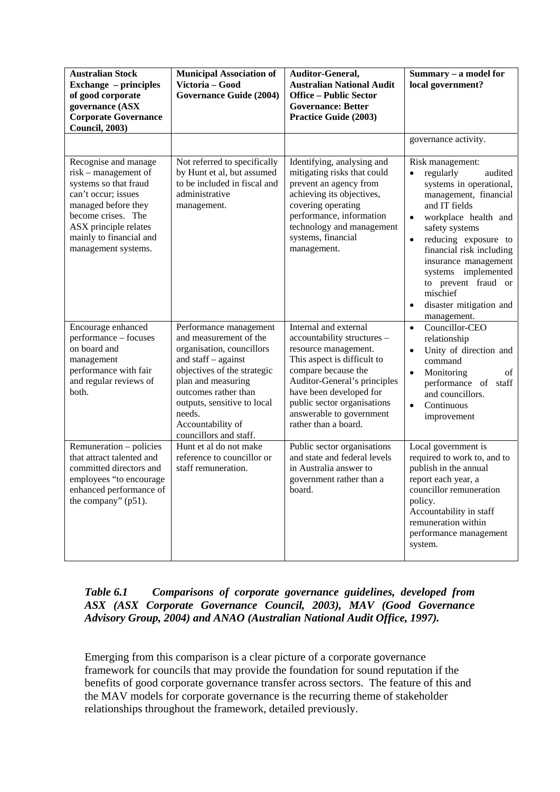| <b>Australian Stock</b><br><b>Exchange</b> – principles<br>of good corporate<br>governance (ASX<br><b>Corporate Governance</b><br><b>Council, 2003)</b>                                                              | <b>Municipal Association of</b><br>Victoria - Good<br><b>Governance Guide (2004)</b>                                                                                                                                                                                      | Auditor-General,<br><b>Australian National Audit</b><br><b>Office - Public Sector</b><br><b>Governance: Better</b><br><b>Practice Guide (2003)</b>                                                                                                                               | Summary - a model for<br>local government?                                                                                                                                                                                                                                                                                                                        |
|----------------------------------------------------------------------------------------------------------------------------------------------------------------------------------------------------------------------|---------------------------------------------------------------------------------------------------------------------------------------------------------------------------------------------------------------------------------------------------------------------------|----------------------------------------------------------------------------------------------------------------------------------------------------------------------------------------------------------------------------------------------------------------------------------|-------------------------------------------------------------------------------------------------------------------------------------------------------------------------------------------------------------------------------------------------------------------------------------------------------------------------------------------------------------------|
|                                                                                                                                                                                                                      |                                                                                                                                                                                                                                                                           |                                                                                                                                                                                                                                                                                  | governance activity.                                                                                                                                                                                                                                                                                                                                              |
| Recognise and manage<br>risk – management of<br>systems so that fraud<br>can't occur; issues<br>managed before they<br>become crises. The<br>ASX principle relates<br>mainly to financial and<br>management systems. | Not referred to specifically<br>by Hunt et al, but assumed<br>to be included in fiscal and<br>administrative<br>management.                                                                                                                                               | Identifying, analysing and<br>mitigating risks that could<br>prevent an agency from<br>achieving its objectives,<br>covering operating<br>performance, information<br>technology and management<br>systems, financial<br>management.                                             | Risk management:<br>regularly<br>$\bullet$<br>audited<br>systems in operational,<br>management, financial<br>and IT fields<br>workplace health and<br>$\bullet$<br>safety systems<br>reducing exposure to<br>financial risk including<br>insurance management<br>systems implemented<br>to prevent fraud or<br>mischief<br>disaster mitigation and<br>management. |
| Encourage enhanced<br>performance – focuses<br>on board and<br>management<br>performance with fair<br>and regular reviews of<br>both.                                                                                | Performance management<br>and measurement of the<br>organisation, councillors<br>and staff - against<br>objectives of the strategic<br>plan and measuring<br>outcomes rather than<br>outputs, sensitive to local<br>needs.<br>Accountability of<br>councillors and staff. | Internal and external<br>accountability structures -<br>resource management.<br>This aspect is difficult to<br>compare because the<br>Auditor-General's principles<br>have been developed for<br>public sector organisations<br>answerable to government<br>rather than a board. | Councillor-CEO<br>$\bullet$<br>relationship<br>Unity of direction and<br>$\bullet$<br>command<br>Monitoring<br>of<br>$\bullet$<br>performance of staff<br>and councillors.<br>Continuous<br>$\bullet$<br>improvement                                                                                                                                              |
| Remuneration - policies<br>that attract talented and<br>committed directors and<br>employees "to encourage<br>enhanced performance of<br>the company" $(p51)$ .                                                      | Hunt et al do not make<br>reference to councillor or<br>staff remuneration.                                                                                                                                                                                               | Public sector organisations<br>and state and federal levels<br>in Australia answer to<br>government rather than a<br>board.                                                                                                                                                      | Local government is<br>required to work to, and to<br>publish in the annual<br>report each year, a<br>councillor remuneration<br>policy.<br>Accountability in staff<br>remuneration within<br>performance management<br>system.                                                                                                                                   |

## *Table 6.1 Comparisons of corporate governance guidelines, developed from ASX (ASX Corporate Governance Council, 2003), MAV (Good Governance Advisory Group, 2004) and ANAO (Australian National Audit Office, 1997).*

Emerging from this comparison is a clear picture of a corporate governance framework for councils that may provide the foundation for sound reputation if the benefits of good corporate governance transfer across sectors. The feature of this and the MAV models for corporate governance is the recurring theme of stakeholder relationships throughout the framework, detailed previously.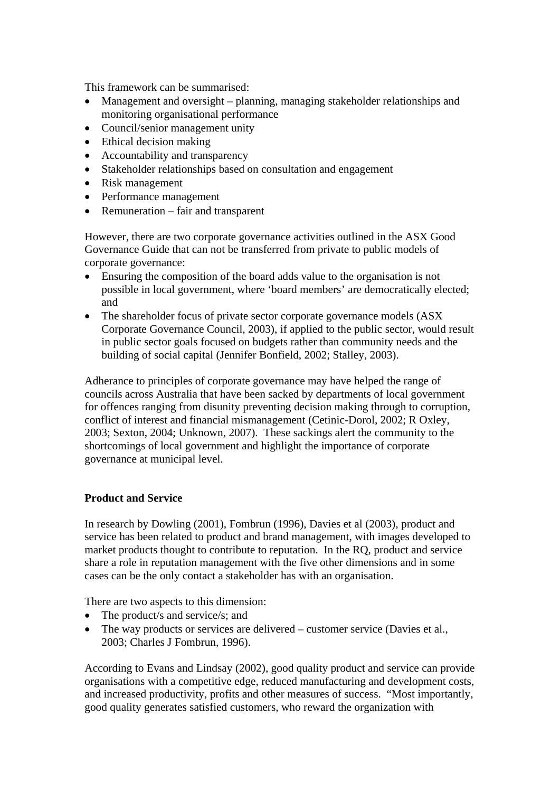This framework can be summarised:

- Management and oversight planning, managing stakeholder relationships and monitoring organisational performance
- Council/senior management unity
- Ethical decision making
- Accountability and transparency
- Stakeholder relationships based on consultation and engagement
- Risk management
- Performance management
- Remuneration fair and transparent

However, there are two corporate governance activities outlined in the ASX Good Governance Guide that can not be transferred from private to public models of corporate governance:

- Ensuring the composition of the board adds value to the organisation is not possible in local government, where 'board members' are democratically elected; and
- The shareholder focus of private sector corporate governance models (ASX) Corporate Governance Council, 2003), if applied to the public sector, would result in public sector goals focused on budgets rather than community needs and the building of social capital (Jennifer Bonfield, 2002; Stalley, 2003).

Adherance to principles of corporate governance may have helped the range of councils across Australia that have been sacked by departments of local government for offences ranging from disunity preventing decision making through to corruption, conflict of interest and financial mismanagement (Cetinic-Dorol, 2002; R Oxley, 2003; Sexton, 2004; Unknown, 2007). These sackings alert the community to the shortcomings of local government and highlight the importance of corporate governance at municipal level.

#### **Product and Service**

In research by Dowling (2001), Fombrun (1996), Davies et al (2003), product and service has been related to product and brand management, with images developed to market products thought to contribute to reputation. In the RQ, product and service share a role in reputation management with the five other dimensions and in some cases can be the only contact a stakeholder has with an organisation.

There are two aspects to this dimension:

- The product/s and service/s; and
- The way products or services are delivered customer service (Davies et al., 2003; Charles J Fombrun, 1996).

According to Evans and Lindsay (2002), good quality product and service can provide organisations with a competitive edge, reduced manufacturing and development costs, and increased productivity, profits and other measures of success. "Most importantly, good quality generates satisfied customers, who reward the organization with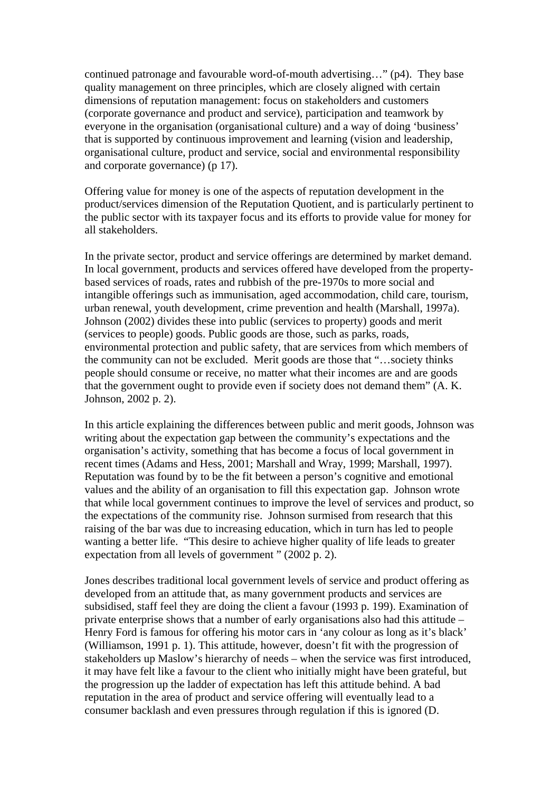continued patronage and favourable word-of-mouth advertising…" (p4). They base quality management on three principles, which are closely aligned with certain dimensions of reputation management: focus on stakeholders and customers (corporate governance and product and service), participation and teamwork by everyone in the organisation (organisational culture) and a way of doing 'business' that is supported by continuous improvement and learning (vision and leadership, organisational culture, product and service, social and environmental responsibility and corporate governance) (p 17).

Offering value for money is one of the aspects of reputation development in the product/services dimension of the Reputation Quotient, and is particularly pertinent to the public sector with its taxpayer focus and its efforts to provide value for money for all stakeholders.

In the private sector, product and service offerings are determined by market demand. In local government, products and services offered have developed from the propertybased services of roads, rates and rubbish of the pre-1970s to more social and intangible offerings such as immunisation, aged accommodation, child care, tourism, urban renewal, youth development, crime prevention and health (Marshall, 1997a). Johnson (2002) divides these into public (services to property) goods and merit (services to people) goods. Public goods are those, such as parks, roads, environmental protection and public safety, that are services from which members of the community can not be excluded. Merit goods are those that "…society thinks people should consume or receive, no matter what their incomes are and are goods that the government ought to provide even if society does not demand them" (A. K. Johnson, 2002 p. 2).

In this article explaining the differences between public and merit goods, Johnson was writing about the expectation gap between the community's expectations and the organisation's activity, something that has become a focus of local government in recent times (Adams and Hess, 2001; Marshall and Wray, 1999; Marshall, 1997). Reputation was found by to be the fit between a person's cognitive and emotional values and the ability of an organisation to fill this expectation gap. Johnson wrote that while local government continues to improve the level of services and product, so the expectations of the community rise. Johnson surmised from research that this raising of the bar was due to increasing education, which in turn has led to people wanting a better life. "This desire to achieve higher quality of life leads to greater expectation from all levels of government " (2002 p. 2).

Jones describes traditional local government levels of service and product offering as developed from an attitude that, as many government products and services are subsidised, staff feel they are doing the client a favour (1993 p. 199). Examination of private enterprise shows that a number of early organisations also had this attitude – Henry Ford is famous for offering his motor cars in 'any colour as long as it's black' (Williamson, 1991 p. 1). This attitude, however, doesn't fit with the progression of stakeholders up Maslow's hierarchy of needs – when the service was first introduced, it may have felt like a favour to the client who initially might have been grateful, but the progression up the ladder of expectation has left this attitude behind. A bad reputation in the area of product and service offering will eventually lead to a consumer backlash and even pressures through regulation if this is ignored (D.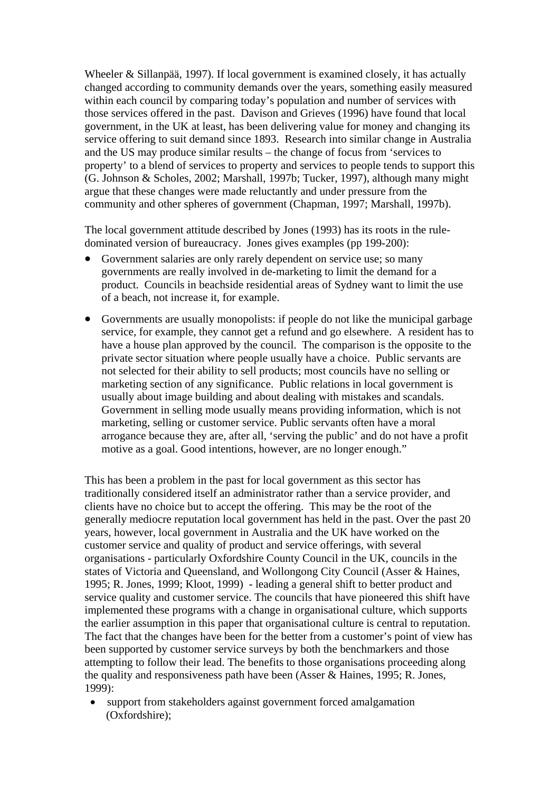Wheeler & Sillanpää, 1997). If local government is examined closely, it has actually changed according to community demands over the years, something easily measured within each council by comparing today's population and number of services with those services offered in the past. Davison and Grieves (1996) have found that local government, in the UK at least, has been delivering value for money and changing its service offering to suit demand since 1893. Research into similar change in Australia and the US may produce similar results – the change of focus from 'services to property' to a blend of services to property and services to people tends to support this (G. Johnson & Scholes, 2002; Marshall, 1997b; Tucker, 1997), although many might argue that these changes were made reluctantly and under pressure from the community and other spheres of government (Chapman, 1997; Marshall, 1997b).

The local government attitude described by Jones (1993) has its roots in the ruledominated version of bureaucracy. Jones gives examples (pp 199-200):

- Government salaries are only rarely dependent on service use; so many governments are really involved in de-marketing to limit the demand for a product. Councils in beachside residential areas of Sydney want to limit the use of a beach, not increase it, for example.
- Governments are usually monopolists: if people do not like the municipal garbage service, for example, they cannot get a refund and go elsewhere. A resident has to have a house plan approved by the council. The comparison is the opposite to the private sector situation where people usually have a choice. Public servants are not selected for their ability to sell products; most councils have no selling or marketing section of any significance. Public relations in local government is usually about image building and about dealing with mistakes and scandals. Government in selling mode usually means providing information, which is not marketing, selling or customer service. Public servants often have a moral arrogance because they are, after all, 'serving the public' and do not have a profit motive as a goal. Good intentions, however, are no longer enough."

This has been a problem in the past for local government as this sector has traditionally considered itself an administrator rather than a service provider, and clients have no choice but to accept the offering. This may be the root of the generally mediocre reputation local government has held in the past. Over the past 20 years, however, local government in Australia and the UK have worked on the customer service and quality of product and service offerings, with several organisations - particularly Oxfordshire County Council in the UK, councils in the states of Victoria and Queensland, and Wollongong City Council (Asser & Haines, 1995; R. Jones, 1999; Kloot, 1999) - leading a general shift to better product and service quality and customer service. The councils that have pioneered this shift have implemented these programs with a change in organisational culture, which supports the earlier assumption in this paper that organisational culture is central to reputation. The fact that the changes have been for the better from a customer's point of view has been supported by customer service surveys by both the benchmarkers and those attempting to follow their lead. The benefits to those organisations proceeding along the quality and responsiveness path have been (Asser & Haines, 1995; R. Jones, 1999):

• support from stakeholders against government forced amalgamation (Oxfordshire);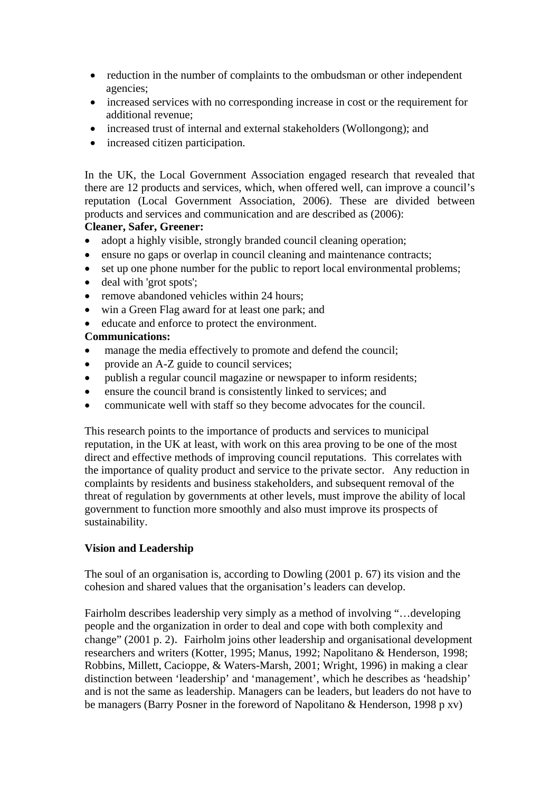- reduction in the number of complaints to the ombudsman or other independent agencies;
- increased services with no corresponding increase in cost or the requirement for additional revenue;
- increased trust of internal and external stakeholders (Wollongong); and
- increased citizen participation.

In the UK, the Local Government Association engaged research that revealed that there are 12 products and services, which, when offered well, can improve a council's reputation (Local Government Association, 2006). These are divided between products and services and communication and are described as (2006):

## **Cleaner, Safer, Greener:**

- adopt a highly visible, strongly branded council cleaning operation;
- ensure no gaps or overlap in council cleaning and maintenance contracts;
- set up one phone number for the public to report local environmental problems;
- deal with 'grot spots';
- remove abandoned vehicles within 24 hours:
- win a Green Flag award for at least one park; and
- educate and enforce to protect the environment.

## **Communications:**

- manage the media effectively to promote and defend the council;
- provide an A-Z guide to council services;
- publish a regular council magazine or newspaper to inform residents;
- ensure the council brand is consistently linked to services; and
- communicate well with staff so they become advocates for the council.

This research points to the importance of products and services to municipal reputation, in the UK at least, with work on this area proving to be one of the most direct and effective methods of improving council reputations. This correlates with the importance of quality product and service to the private sector. Any reduction in complaints by residents and business stakeholders, and subsequent removal of the threat of regulation by governments at other levels, must improve the ability of local government to function more smoothly and also must improve its prospects of sustainability.

## **Vision and Leadership**

The soul of an organisation is, according to Dowling (2001 p. 67) its vision and the cohesion and shared values that the organisation's leaders can develop.

Fairholm describes leadership very simply as a method of involving "…developing people and the organization in order to deal and cope with both complexity and change" (2001 p. 2). Fairholm joins other leadership and organisational development researchers and writers (Kotter, 1995; Manus, 1992; Napolitano & Henderson, 1998; Robbins, Millett, Cacioppe, & Waters-Marsh, 2001; Wright, 1996) in making a clear distinction between 'leadership' and 'management', which he describes as 'headship' and is not the same as leadership. Managers can be leaders, but leaders do not have to be managers (Barry Posner in the foreword of Napolitano & Henderson, 1998 p xv)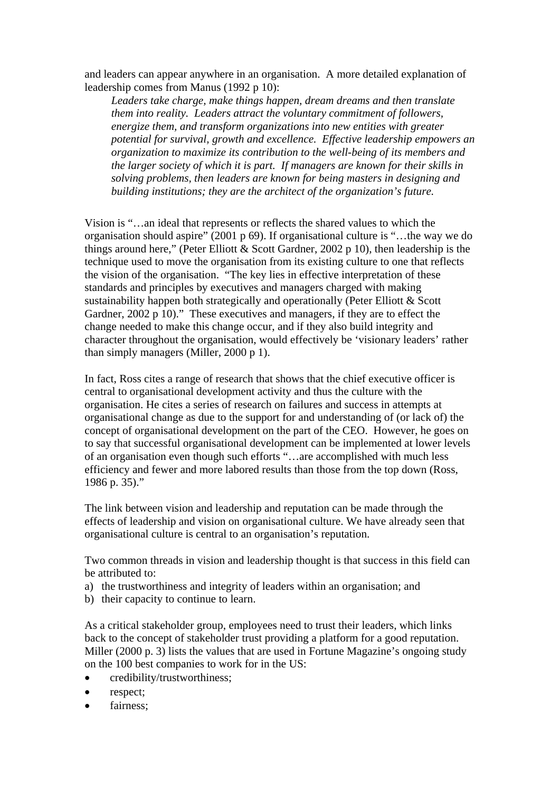and leaders can appear anywhere in an organisation. A more detailed explanation of leadership comes from Manus (1992 p 10):

*Leaders take charge, make things happen, dream dreams and then translate them into reality. Leaders attract the voluntary commitment of followers, energize them, and transform organizations into new entities with greater potential for survival, growth and excellence. Effective leadership empowers an organization to maximize its contribution to the well-being of its members and the larger society of which it is part. If managers are known for their skills in solving problems, then leaders are known for being masters in designing and building institutions; they are the architect of the organization's future.* 

Vision is "…an ideal that represents or reflects the shared values to which the organisation should aspire" (2001 p 69). If organisational culture is "…the way we do things around here," (Peter Elliott & Scott Gardner, 2002 p 10), then leadership is the technique used to move the organisation from its existing culture to one that reflects the vision of the organisation. "The key lies in effective interpretation of these standards and principles by executives and managers charged with making sustainability happen both strategically and operationally (Peter Elliott & Scott Gardner, 2002 p 10)." These executives and managers, if they are to effect the change needed to make this change occur, and if they also build integrity and character throughout the organisation, would effectively be 'visionary leaders' rather than simply managers (Miller, 2000 p 1).

In fact, Ross cites a range of research that shows that the chief executive officer is central to organisational development activity and thus the culture with the organisation. He cites a series of research on failures and success in attempts at organisational change as due to the support for and understanding of (or lack of) the concept of organisational development on the part of the CEO. However, he goes on to say that successful organisational development can be implemented at lower levels of an organisation even though such efforts "…are accomplished with much less efficiency and fewer and more labored results than those from the top down (Ross, 1986 p. 35)."

The link between vision and leadership and reputation can be made through the effects of leadership and vision on organisational culture. We have already seen that organisational culture is central to an organisation's reputation.

Two common threads in vision and leadership thought is that success in this field can be attributed to:

- a) the trustworthiness and integrity of leaders within an organisation; and
- b) their capacity to continue to learn.

As a critical stakeholder group, employees need to trust their leaders, which links back to the concept of stakeholder trust providing a platform for a good reputation. Miller (2000 p. 3) lists the values that are used in Fortune Magazine's ongoing study on the 100 best companies to work for in the US:

- credibility/trustworthiness;
- respect;
- fairness: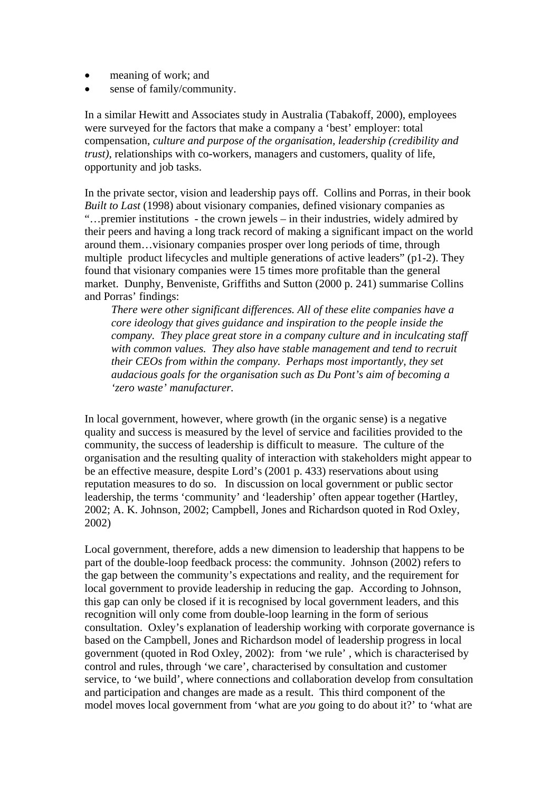- meaning of work; and
- sense of family/community.

In a similar Hewitt and Associates study in Australia (Tabakoff, 2000), employees were surveyed for the factors that make a company a 'best' employer: total compensation, *culture and purpose of the organisation, leadership (credibility and trust)*, relationships with co-workers, managers and customers, quality of life, opportunity and job tasks.

In the private sector, vision and leadership pays off. Collins and Porras, in their book *Built to Last* (1998) about visionary companies, defined visionary companies as "…premier institutions - the crown jewels – in their industries, widely admired by their peers and having a long track record of making a significant impact on the world around them…visionary companies prosper over long periods of time, through multiple product lifecycles and multiple generations of active leaders" (p1-2). They found that visionary companies were 15 times more profitable than the general market. Dunphy, Benveniste, Griffiths and Sutton (2000 p. 241) summarise Collins and Porras' findings:

*There were other significant differences. All of these elite companies have a core ideology that gives guidance and inspiration to the people inside the company. They place great store in a company culture and in inculcating staff with common values. They also have stable management and tend to recruit their CEOs from within the company. Perhaps most importantly, they set audacious goals for the organisation such as Du Pont's aim of becoming a 'zero waste' manufacturer.* 

In local government, however, where growth (in the organic sense) is a negative quality and success is measured by the level of service and facilities provided to the community, the success of leadership is difficult to measure. The culture of the organisation and the resulting quality of interaction with stakeholders might appear to be an effective measure, despite Lord's (2001 p. 433) reservations about using reputation measures to do so. In discussion on local government or public sector leadership, the terms 'community' and 'leadership' often appear together (Hartley, 2002; A. K. Johnson, 2002; Campbell, Jones and Richardson quoted in Rod Oxley, 2002)

Local government, therefore, adds a new dimension to leadership that happens to be part of the double-loop feedback process: the community. Johnson (2002) refers to the gap between the community's expectations and reality, and the requirement for local government to provide leadership in reducing the gap. According to Johnson, this gap can only be closed if it is recognised by local government leaders, and this recognition will only come from double-loop learning in the form of serious consultation. Oxley's explanation of leadership working with corporate governance is based on the Campbell, Jones and Richardson model of leadership progress in local government (quoted in Rod Oxley, 2002): from 'we rule' , which is characterised by control and rules, through 'we care', characterised by consultation and customer service, to 'we build', where connections and collaboration develop from consultation and participation and changes are made as a result. This third component of the model moves local government from 'what are *you* going to do about it?' to 'what are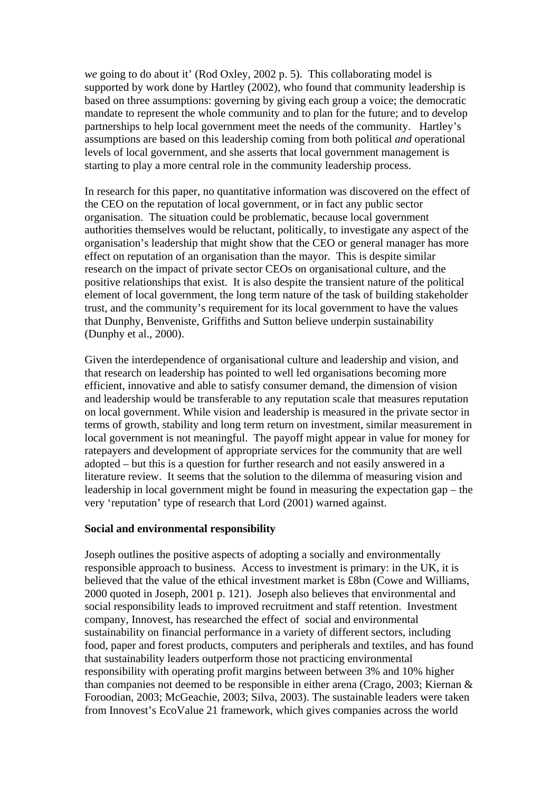*we* going to do about it' (Rod Oxley, 2002 p. 5). This collaborating model is supported by work done by Hartley (2002), who found that community leadership is based on three assumptions: governing by giving each group a voice; the democratic mandate to represent the whole community and to plan for the future; and to develop partnerships to help local government meet the needs of the community. Hartley's assumptions are based on this leadership coming from both political *and* operational levels of local government, and she asserts that local government management is starting to play a more central role in the community leadership process.

In research for this paper, no quantitative information was discovered on the effect of the CEO on the reputation of local government, or in fact any public sector organisation. The situation could be problematic, because local government authorities themselves would be reluctant, politically, to investigate any aspect of the organisation's leadership that might show that the CEO or general manager has more effect on reputation of an organisation than the mayor. This is despite similar research on the impact of private sector CEOs on organisational culture, and the positive relationships that exist. It is also despite the transient nature of the political element of local government, the long term nature of the task of building stakeholder trust, and the community's requirement for its local government to have the values that Dunphy, Benveniste, Griffiths and Sutton believe underpin sustainability (Dunphy et al., 2000).

Given the interdependence of organisational culture and leadership and vision, and that research on leadership has pointed to well led organisations becoming more efficient, innovative and able to satisfy consumer demand, the dimension of vision and leadership would be transferable to any reputation scale that measures reputation on local government. While vision and leadership is measured in the private sector in terms of growth, stability and long term return on investment, similar measurement in local government is not meaningful. The payoff might appear in value for money for ratepayers and development of appropriate services for the community that are well adopted – but this is a question for further research and not easily answered in a literature review. It seems that the solution to the dilemma of measuring vision and leadership in local government might be found in measuring the expectation gap – the very 'reputation' type of research that Lord (2001) warned against.

#### **Social and environmental responsibility**

Joseph outlines the positive aspects of adopting a socially and environmentally responsible approach to business. Access to investment is primary: in the UK, it is believed that the value of the ethical investment market is £8bn (Cowe and Williams, 2000 quoted in Joseph, 2001 p. 121). Joseph also believes that environmental and social responsibility leads to improved recruitment and staff retention. Investment company, Innovest, has researched the effect of social and environmental sustainability on financial performance in a variety of different sectors, including food, paper and forest products, computers and peripherals and textiles, and has found that sustainability leaders outperform those not practicing environmental responsibility with operating profit margins between between 3% and 10% higher than companies not deemed to be responsible in either arena (Crago, 2003; Kiernan & Foroodian, 2003; McGeachie, 2003; Silva, 2003). The sustainable leaders were taken from Innovest's EcoValue 21 framework, which gives companies across the world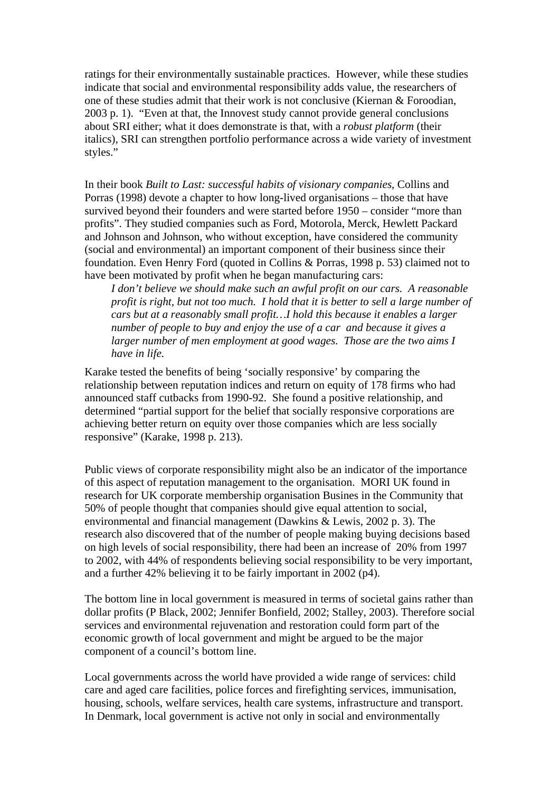ratings for their environmentally sustainable practices. However, while these studies indicate that social and environmental responsibility adds value, the researchers of one of these studies admit that their work is not conclusive (Kiernan & Foroodian, 2003 p. 1). "Even at that, the Innovest study cannot provide general conclusions about SRI either; what it does demonstrate is that, with a *robust platform* (their italics), SRI can strengthen portfolio performance across a wide variety of investment styles."

In their book *Built to Last: successful habits of visionary companies*, Collins and Porras (1998) devote a chapter to how long-lived organisations – those that have survived beyond their founders and were started before 1950 – consider "more than profits". They studied companies such as Ford, Motorola, Merck, Hewlett Packard and Johnson and Johnson, who without exception, have considered the community (social and environmental) an important component of their business since their foundation. Even Henry Ford (quoted in Collins & Porras, 1998 p. 53) claimed not to have been motivated by profit when he began manufacturing cars:

*I don't believe we should make such an awful profit on our cars. A reasonable profit is right, but not too much. I hold that it is better to sell a large number of cars but at a reasonably small profit…I hold this because it enables a larger number of people to buy and enjoy the use of a car and because it gives a larger number of men employment at good wages. Those are the two aims I have in life.* 

Karake tested the benefits of being 'socially responsive' by comparing the relationship between reputation indices and return on equity of 178 firms who had announced staff cutbacks from 1990-92. She found a positive relationship, and determined "partial support for the belief that socially responsive corporations are achieving better return on equity over those companies which are less socially responsive" (Karake, 1998 p. 213).

Public views of corporate responsibility might also be an indicator of the importance of this aspect of reputation management to the organisation. MORI UK found in research for UK corporate membership organisation Busines in the Community that 50% of people thought that companies should give equal attention to social, environmental and financial management (Dawkins & Lewis, 2002 p. 3). The research also discovered that of the number of people making buying decisions based on high levels of social responsibility, there had been an increase of 20% from 1997 to 2002, with 44% of respondents believing social responsibility to be very important, and a further 42% believing it to be fairly important in 2002 (p4).

The bottom line in local government is measured in terms of societal gains rather than dollar profits (P Black, 2002; Jennifer Bonfield, 2002; Stalley, 2003). Therefore social services and environmental rejuvenation and restoration could form part of the economic growth of local government and might be argued to be the major component of a council's bottom line.

Local governments across the world have provided a wide range of services: child care and aged care facilities, police forces and firefighting services, immunisation, housing, schools, welfare services, health care systems, infrastructure and transport. In Denmark, local government is active not only in social and environmentally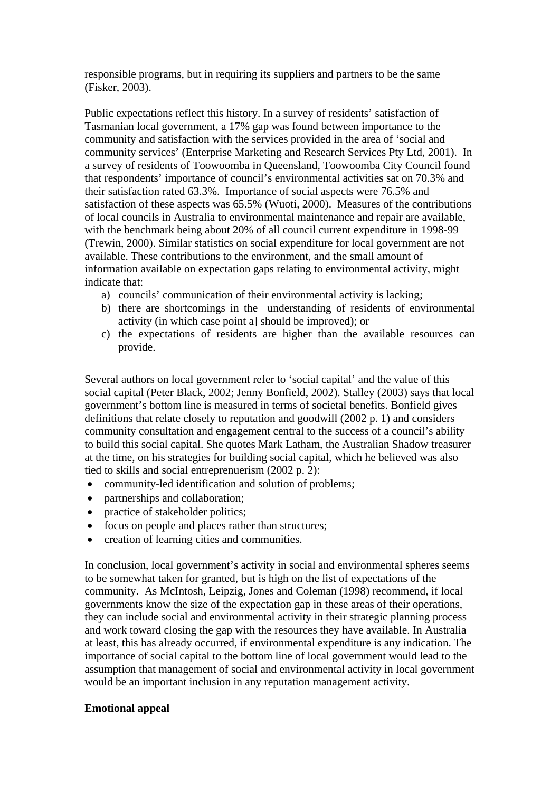responsible programs, but in requiring its suppliers and partners to be the same (Fisker, 2003).

Public expectations reflect this history. In a survey of residents' satisfaction of Tasmanian local government, a 17% gap was found between importance to the community and satisfaction with the services provided in the area of 'social and community services' (Enterprise Marketing and Research Services Pty Ltd, 2001). In a survey of residents of Toowoomba in Queensland, Toowoomba City Council found that respondents' importance of council's environmental activities sat on 70.3% and their satisfaction rated 63.3%. Importance of social aspects were 76.5% and satisfaction of these aspects was 65.5% (Wuoti, 2000). Measures of the contributions of local councils in Australia to environmental maintenance and repair are available, with the benchmark being about 20% of all council current expenditure in 1998-99 (Trewin, 2000). Similar statistics on social expenditure for local government are not available. These contributions to the environment, and the small amount of information available on expectation gaps relating to environmental activity, might indicate that:

- a) councils' communication of their environmental activity is lacking;
- b) there are shortcomings in the understanding of residents of environmental activity (in which case point a] should be improved); or
- c) the expectations of residents are higher than the available resources can provide.

Several authors on local government refer to 'social capital' and the value of this social capital (Peter Black, 2002; Jenny Bonfield, 2002). Stalley (2003) says that local government's bottom line is measured in terms of societal benefits. Bonfield gives definitions that relate closely to reputation and goodwill (2002 p. 1) and considers community consultation and engagement central to the success of a council's ability to build this social capital. She quotes Mark Latham, the Australian Shadow treasurer at the time, on his strategies for building social capital, which he believed was also tied to skills and social entreprenuerism (2002 p. 2):

- community-led identification and solution of problems;
- partnerships and collaboration;
- practice of stakeholder politics;
- focus on people and places rather than structures;
- creation of learning cities and communities.

In conclusion, local government's activity in social and environmental spheres seems to be somewhat taken for granted, but is high on the list of expectations of the community. As McIntosh, Leipzig, Jones and Coleman (1998) recommend, if local governments know the size of the expectation gap in these areas of their operations, they can include social and environmental activity in their strategic planning process and work toward closing the gap with the resources they have available. In Australia at least, this has already occurred, if environmental expenditure is any indication. The importance of social capital to the bottom line of local government would lead to the assumption that management of social and environmental activity in local government would be an important inclusion in any reputation management activity.

#### **Emotional appeal**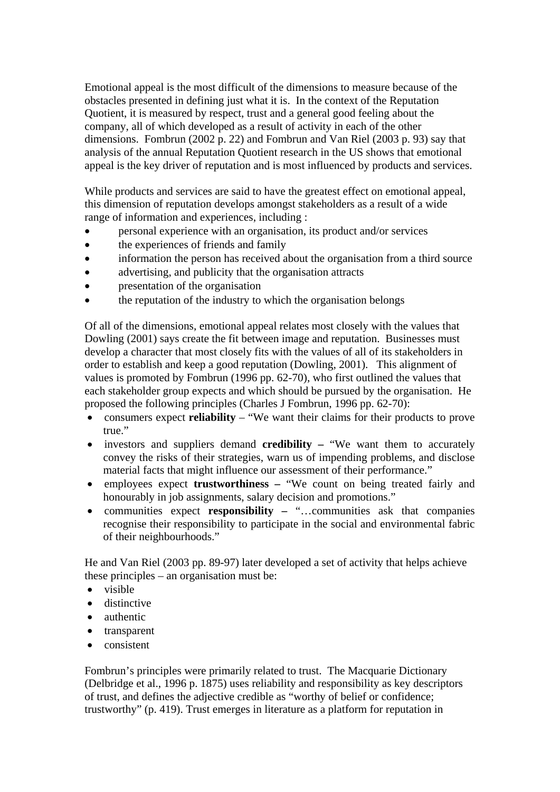Emotional appeal is the most difficult of the dimensions to measure because of the obstacles presented in defining just what it is. In the context of the Reputation Quotient, it is measured by respect, trust and a general good feeling about the company, all of which developed as a result of activity in each of the other dimensions. Fombrun (2002 p. 22) and Fombrun and Van Riel (2003 p. 93) say that analysis of the annual Reputation Quotient research in the US shows that emotional appeal is the key driver of reputation and is most influenced by products and services.

While products and services are said to have the greatest effect on emotional appeal, this dimension of reputation develops amongst stakeholders as a result of a wide range of information and experiences, including :

- personal experience with an organisation, its product and/or services
- the experiences of friends and family
- information the person has received about the organisation from a third source
- advertising, and publicity that the organisation attracts
- presentation of the organisation
- the reputation of the industry to which the organisation belongs

Of all of the dimensions, emotional appeal relates most closely with the values that Dowling (2001) says create the fit between image and reputation. Businesses must develop a character that most closely fits with the values of all of its stakeholders in order to establish and keep a good reputation (Dowling, 2001). This alignment of values is promoted by Fombrun (1996 pp. 62-70), who first outlined the values that each stakeholder group expects and which should be pursued by the organisation. He proposed the following principles (Charles J Fombrun, 1996 pp. 62-70):

- consumers expect **reliability** "We want their claims for their products to prove true."
- investors and suppliers demand **credibility** "We want them to accurately convey the risks of their strategies, warn us of impending problems, and disclose material facts that might influence our assessment of their performance."
- employees expect **trustworthiness** "We count on being treated fairly and honourably in job assignments, salary decision and promotions."
- communities expect **responsibility –** "…communities ask that companies recognise their responsibility to participate in the social and environmental fabric of their neighbourhoods."

He and Van Riel (2003 pp. 89-97) later developed a set of activity that helps achieve these principles – an organisation must be:

- visible
- distinctive
- authentic
- transparent
- consistent

Fombrun's principles were primarily related to trust. The Macquarie Dictionary (Delbridge et al., 1996 p. 1875) uses reliability and responsibility as key descriptors of trust, and defines the adjective credible as "worthy of belief or confidence; trustworthy" (p. 419). Trust emerges in literature as a platform for reputation in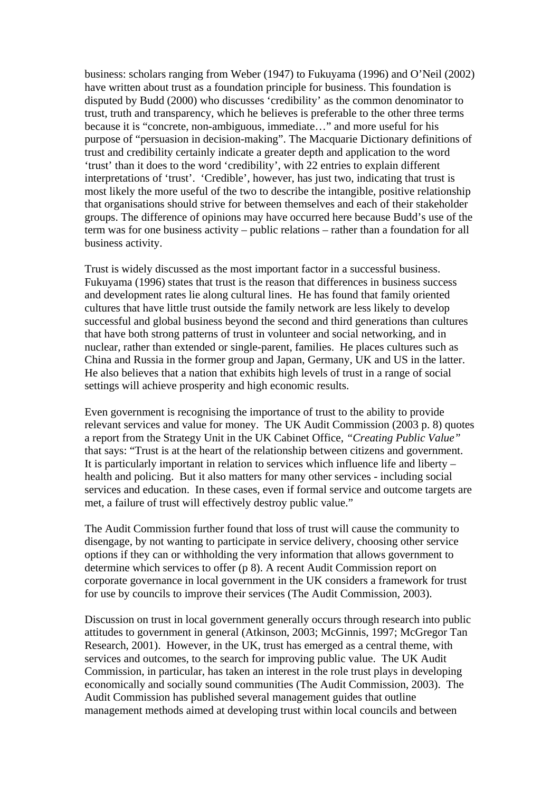business: scholars ranging from Weber (1947) to Fukuyama (1996) and O'Neil (2002) have written about trust as a foundation principle for business. This foundation is disputed by Budd (2000) who discusses 'credibility' as the common denominator to trust, truth and transparency, which he believes is preferable to the other three terms because it is "concrete, non-ambiguous, immediate…" and more useful for his purpose of "persuasion in decision-making". The Macquarie Dictionary definitions of trust and credibility certainly indicate a greater depth and application to the word 'trust' than it does to the word 'credibility', with 22 entries to explain different interpretations of 'trust'. 'Credible', however, has just two, indicating that trust is most likely the more useful of the two to describe the intangible, positive relationship that organisations should strive for between themselves and each of their stakeholder groups. The difference of opinions may have occurred here because Budd's use of the term was for one business activity – public relations – rather than a foundation for all business activity.

Trust is widely discussed as the most important factor in a successful business. Fukuyama (1996) states that trust is the reason that differences in business success and development rates lie along cultural lines. He has found that family oriented cultures that have little trust outside the family network are less likely to develop successful and global business beyond the second and third generations than cultures that have both strong patterns of trust in volunteer and social networking, and in nuclear, rather than extended or single-parent, families. He places cultures such as China and Russia in the former group and Japan, Germany, UK and US in the latter. He also believes that a nation that exhibits high levels of trust in a range of social settings will achieve prosperity and high economic results.

Even government is recognising the importance of trust to the ability to provide relevant services and value for money. The UK Audit Commission (2003 p. 8) quotes a report from the Strategy Unit in the UK Cabinet Office, *"Creating Public Value"* that says: "Trust is at the heart of the relationship between citizens and government. It is particularly important in relation to services which influence life and liberty – health and policing. But it also matters for many other services - including social services and education. In these cases, even if formal service and outcome targets are met, a failure of trust will effectively destroy public value."

The Audit Commission further found that loss of trust will cause the community to disengage, by not wanting to participate in service delivery, choosing other service options if they can or withholding the very information that allows government to determine which services to offer (p 8). A recent Audit Commission report on corporate governance in local government in the UK considers a framework for trust for use by councils to improve their services (The Audit Commission, 2003).

Discussion on trust in local government generally occurs through research into public attitudes to government in general (Atkinson, 2003; McGinnis, 1997; McGregor Tan Research, 2001). However, in the UK, trust has emerged as a central theme, with services and outcomes, to the search for improving public value. The UK Audit Commission, in particular, has taken an interest in the role trust plays in developing economically and socially sound communities (The Audit Commission, 2003). The Audit Commission has published several management guides that outline management methods aimed at developing trust within local councils and between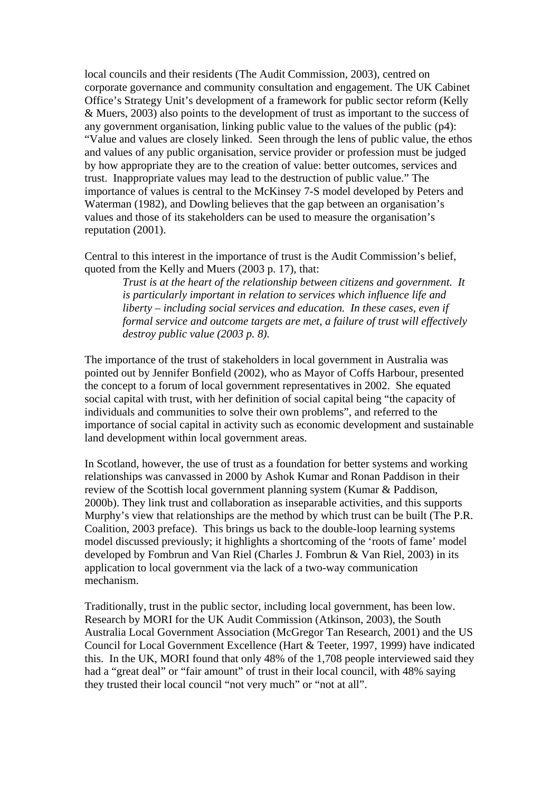local councils and their residents (The Audit Commission, 2003), centred on corporate governance and community consultation and engagement. The UK Cabinet Office's Strategy Unit's development of a framework for public sector reform (Kelly & Muers, 2003) also points to the development of trust as important to the success of any government organisation, linking public value to the values of the public (p4): "Value and values are closely linked. Seen through the lens of public value, the ethos and values of any public organisation, service provider or profession must be judged by how appropriate they are to the creation of value: better outcomes, services and trust. Inappropriate values may lead to the destruction of public value." The importance of values is central to the McKinsey 7-S model developed by Peters and Waterman (1982), and Dowling believes that the gap between an organisation's values and those of its stakeholders can be used to measure the organisation's reputation (2001).

Central to this interest in the importance of trust is the Audit Commission's belief, quoted from the Kelly and Muers (2003 p. 17), that:

*Trust is at the heart of the relationship between citizens and government. It is particularly important in relation to services which influence life and liberty – including social services and education. In these cases, even if formal service and outcome targets are met, a failure of trust will effectively destroy public value (2003 p. 8)*.

The importance of the trust of stakeholders in local government in Australia was pointed out by Jennifer Bonfield (2002), who as Mayor of Coffs Harbour, presented the concept to a forum of local government representatives in 2002. She equated social capital with trust, with her definition of social capital being "the capacity of individuals and communities to solve their own problems", and referred to the importance of social capital in activity such as economic development and sustainable land development within local government areas.

In Scotland, however, the use of trust as a foundation for better systems and working relationships was canvassed in 2000 by Ashok Kumar and Ronan Paddison in their review of the Scottish local government planning system (Kumar & Paddison, 2000b). They link trust and collaboration as inseparable activities, and this supports Murphy's view that relationships are the method by which trust can be built (The P.R. Coalition, 2003 preface). This brings us back to the double-loop learning systems model discussed previously; it highlights a shortcoming of the 'roots of fame' model developed by Fombrun and Van Riel (Charles J. Fombrun & Van Riel, 2003) in its application to local government via the lack of a two-way communication mechanism.

Traditionally, trust in the public sector, including local government, has been low. Research by MORI for the UK Audit Commission (Atkinson, 2003), the South Australia Local Government Association (McGregor Tan Research, 2001) and the US Council for Local Government Excellence (Hart & Teeter, 1997, 1999) have indicated this. In the UK, MORI found that only 48% of the 1,708 people interviewed said they had a "great deal" or "fair amount" of trust in their local council, with 48% saying they trusted their local council "not very much" or "not at all".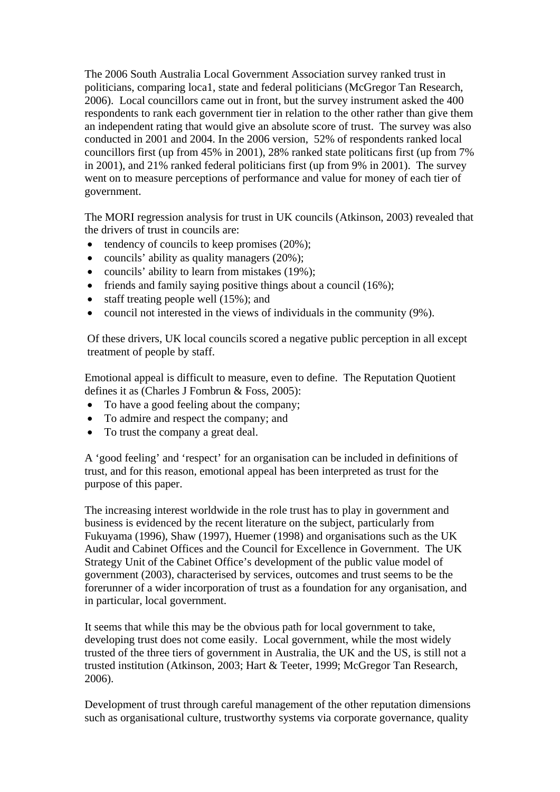The 2006 South Australia Local Government Association survey ranked trust in politicians, comparing loca1, state and federal politicians (McGregor Tan Research, 2006). Local councillors came out in front, but the survey instrument asked the 400 respondents to rank each government tier in relation to the other rather than give them an independent rating that would give an absolute score of trust. The survey was also conducted in 2001 and 2004. In the 2006 version, 52% of respondents ranked local councillors first (up from 45% in 2001), 28% ranked state politicans first (up from 7% in 2001), and 21% ranked federal politicians first (up from 9% in 2001). The survey went on to measure perceptions of performance and value for money of each tier of government.

The MORI regression analysis for trust in UK councils (Atkinson, 2003) revealed that the drivers of trust in councils are:

- tendency of councils to keep promises  $(20\%)$ ;
- councils' ability as quality managers (20%);
- councils' ability to learn from mistakes (19%);
- friends and family saying positive things about a council (16%);
- staff treating people well (15%); and
- council not interested in the views of individuals in the community (9%).

Of these drivers, UK local councils scored a negative public perception in all except treatment of people by staff.

Emotional appeal is difficult to measure, even to define. The Reputation Quotient defines it as (Charles J Fombrun & Foss, 2005):

- To have a good feeling about the company;
- To admire and respect the company; and
- To trust the company a great deal.

A 'good feeling' and 'respect' for an organisation can be included in definitions of trust, and for this reason, emotional appeal has been interpreted as trust for the purpose of this paper.

The increasing interest worldwide in the role trust has to play in government and business is evidenced by the recent literature on the subject, particularly from Fukuyama (1996), Shaw (1997), Huemer (1998) and organisations such as the UK Audit and Cabinet Offices and the Council for Excellence in Government. The UK Strategy Unit of the Cabinet Office's development of the public value model of government (2003), characterised by services, outcomes and trust seems to be the forerunner of a wider incorporation of trust as a foundation for any organisation, and in particular, local government.

It seems that while this may be the obvious path for local government to take, developing trust does not come easily. Local government, while the most widely trusted of the three tiers of government in Australia, the UK and the US, is still not a trusted institution (Atkinson, 2003; Hart & Teeter, 1999; McGregor Tan Research, 2006).

Development of trust through careful management of the other reputation dimensions such as organisational culture, trustworthy systems via corporate governance, quality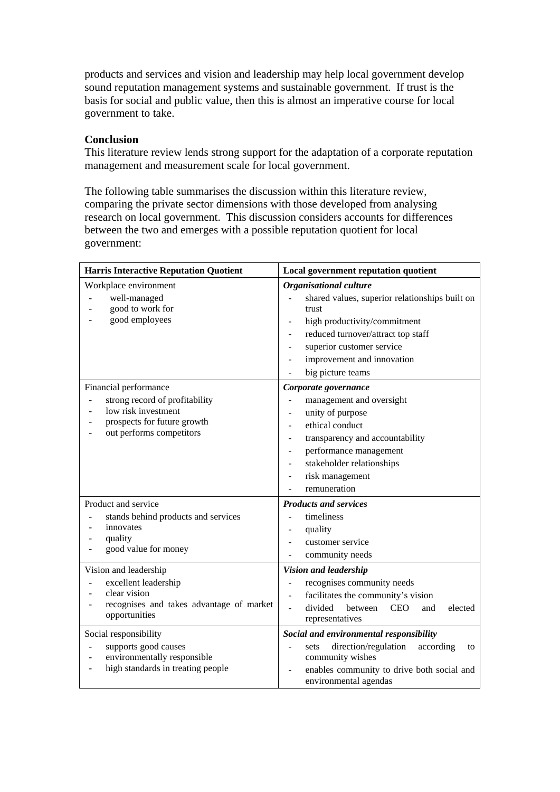products and services and vision and leadership may help local government develop sound reputation management systems and sustainable government. If trust is the basis for social and public value, then this is almost an imperative course for local government to take.

### **Conclusion**

This literature review lends strong support for the adaptation of a corporate reputation management and measurement scale for local government.

The following table summarises the discussion within this literature review, comparing the private sector dimensions with those developed from analysing research on local government. This discussion considers accounts for differences between the two and emerges with a possible reputation quotient for local government:

| <b>Harris Interactive Reputation Quotient</b>                                                                                                                                                                                                       | Local government reputation quotient                                                                                                                                                                                                                                                                                                                      |  |
|-----------------------------------------------------------------------------------------------------------------------------------------------------------------------------------------------------------------------------------------------------|-----------------------------------------------------------------------------------------------------------------------------------------------------------------------------------------------------------------------------------------------------------------------------------------------------------------------------------------------------------|--|
| Workplace environment<br>well-managed<br>good to work for<br>good employees                                                                                                                                                                         | Organisational culture<br>shared values, superior relationships built on<br>trust<br>high productivity/commitment<br>reduced turnover/attract top staff<br>$\overline{\phantom{a}}$<br>superior customer service<br>$\overline{\phantom{a}}$<br>improvement and innovation<br>big picture teams                                                           |  |
| Financial performance<br>strong record of profitability<br>$\overline{a}$<br>low risk investment<br>prospects for future growth<br>out performs competitors                                                                                         | Corporate governance<br>management and oversight<br>unity of purpose<br>$\qquad \qquad \blacksquare$<br>ethical conduct<br>$\overline{\phantom{a}}$<br>transparency and accountability<br>performance management<br>$\overline{\phantom{a}}$<br>stakeholder relationships<br>risk management<br>$\qquad \qquad \blacksquare$<br>remuneration              |  |
| Product and service<br>stands behind products and services<br>innovates<br>quality<br>-<br>good value for money<br>-<br>Vision and leadership<br>excellent leadership<br>$\overline{a}$<br>clear vision<br>recognises and takes advantage of market | <b>Products and services</b><br>timeliness<br>$\overline{a}$<br>quality<br>$\overline{\phantom{a}}$<br>customer service<br>community needs<br>$\overline{\phantom{0}}$<br>Vision and leadership<br>recognises community needs<br>$\qquad \qquad \blacksquare$<br>facilitates the community's vision<br>divided<br>between<br><b>CEO</b><br>elected<br>and |  |
| opportunities                                                                                                                                                                                                                                       | representatives                                                                                                                                                                                                                                                                                                                                           |  |
| Social responsibility<br>supports good causes<br>environmentally responsible<br>÷,<br>high standards in treating people                                                                                                                             | Social and environmental responsibility<br>direction/regulation<br>according<br>sets<br>to<br>community wishes<br>enables community to drive both social and<br>environmental agendas                                                                                                                                                                     |  |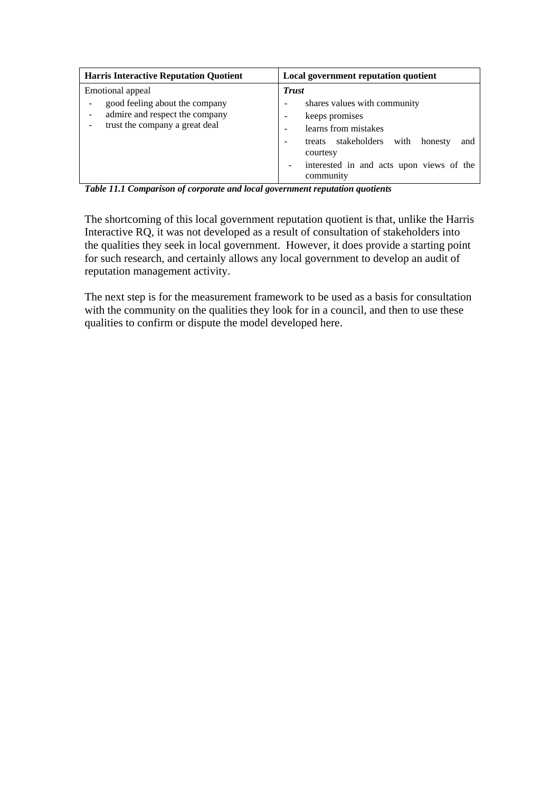| <b>Harris Interactive Reputation Quotient</b>                                                                          | Local government reputation quotient                                                                                                                                                                           |
|------------------------------------------------------------------------------------------------------------------------|----------------------------------------------------------------------------------------------------------------------------------------------------------------------------------------------------------------|
| Emotional appeal<br>good feeling about the company<br>admire and respect the company<br>trust the company a great deal | <b>Trust</b><br>shares values with community<br>keeps promises<br>learns from mistakes<br>treats stakeholders with<br>honesty<br>and<br>courtesy<br>interested in and acts upon views of the<br>-<br>community |

*Table 11.1 Comparison of corporate and local government reputation quotients* 

The shortcoming of this local government reputation quotient is that, unlike the Harris Interactive RQ, it was not developed as a result of consultation of stakeholders into the qualities they seek in local government. However, it does provide a starting point for such research, and certainly allows any local government to develop an audit of reputation management activity.

The next step is for the measurement framework to be used as a basis for consultation with the community on the qualities they look for in a council, and then to use these qualities to confirm or dispute the model developed here.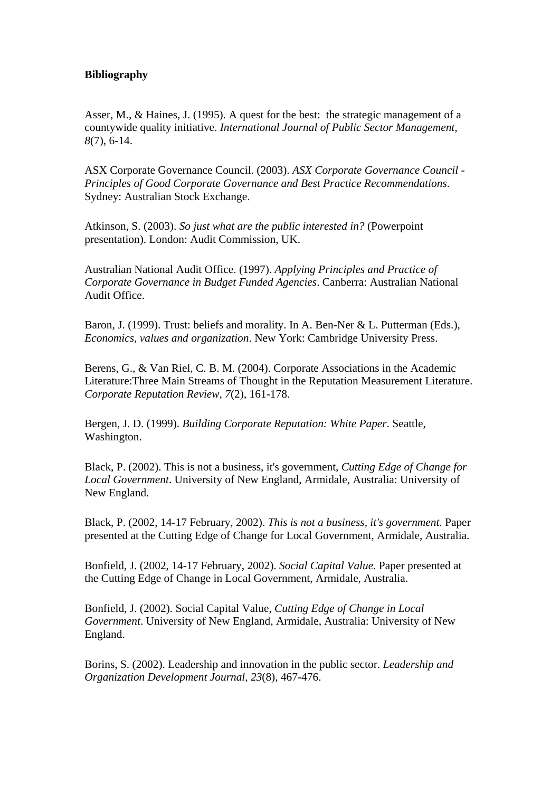### **Bibliography**

Asser, M., & Haines, J. (1995). A quest for the best: the strategic management of a countywide quality initiative. *International Journal of Public Sector Management, 8*(7), 6-14.

ASX Corporate Governance Council. (2003). *ASX Corporate Governance Council - Principles of Good Corporate Governance and Best Practice Recommendations*. Sydney: Australian Stock Exchange.

Atkinson, S. (2003). *So just what are the public interested in?* (Powerpoint presentation). London: Audit Commission, UK.

Australian National Audit Office. (1997). *Applying Principles and Practice of Corporate Governance in Budget Funded Agencies*. Canberra: Australian National Audit Office.

Baron, J. (1999). Trust: beliefs and morality. In A. Ben-Ner & L. Putterman (Eds.), *Economics, values and organization*. New York: Cambridge University Press.

Berens, G., & Van Riel, C. B. M. (2004). Corporate Associations in the Academic Literature:Three Main Streams of Thought in the Reputation Measurement Literature. *Corporate Reputation Review, 7*(2), 161-178.

Bergen, J. D. (1999). *Building Corporate Reputation: White Paper*. Seattle, Washington.

Black, P. (2002). This is not a business, it's government, *Cutting Edge of Change for Local Government*. University of New England, Armidale, Australia: University of New England.

Black, P. (2002, 14-17 February, 2002). *This is not a business, it's government.* Paper presented at the Cutting Edge of Change for Local Government, Armidale, Australia.

Bonfield, J. (2002, 14-17 February, 2002). *Social Capital Value.* Paper presented at the Cutting Edge of Change in Local Government, Armidale, Australia.

Bonfield, J. (2002). Social Capital Value, *Cutting Edge of Change in Local Government*. University of New England, Armidale, Australia: University of New England.

Borins, S. (2002). Leadership and innovation in the public sector. *Leadership and Organization Development Journal, 23*(8), 467-476.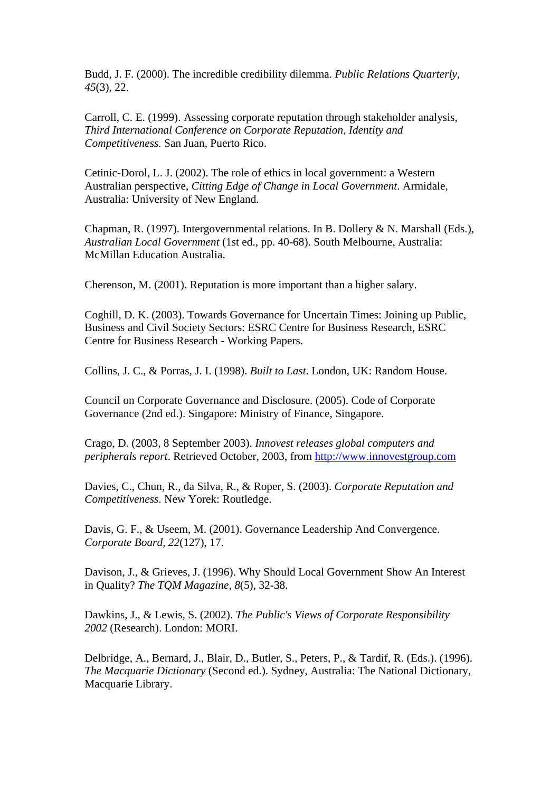Budd, J. F. (2000). The incredible credibility dilemma. *Public Relations Quarterly, 45*(3), 22.

Carroll, C. E. (1999). Assessing corporate reputation through stakeholder analysis, *Third International Conference on Corporate Reputation, Identity and Competitiveness*. San Juan, Puerto Rico.

Cetinic-Dorol, L. J. (2002). The role of ethics in local government: a Western Australian perspective, *Citting Edge of Change in Local Government*. Armidale, Australia: University of New England.

Chapman, R. (1997). Intergovernmental relations. In B. Dollery & N. Marshall (Eds.), *Australian Local Government* (1st ed., pp. 40-68). South Melbourne, Australia: McMillan Education Australia.

Cherenson, M. (2001). Reputation is more important than a higher salary.

Coghill, D. K. (2003). Towards Governance for Uncertain Times: Joining up Public, Business and Civil Society Sectors: ESRC Centre for Business Research, ESRC Centre for Business Research - Working Papers.

Collins, J. C., & Porras, J. I. (1998). *Built to Last*. London, UK: Random House.

Council on Corporate Governance and Disclosure. (2005). Code of Corporate Governance (2nd ed.). Singapore: Ministry of Finance, Singapore.

Crago, D. (2003, 8 September 2003). *Innovest releases global computers and peripherals report*. Retrieved October, 2003, from [http://www.innovestgroup.com](http://www.innovestgroup.com/)

Davies, C., Chun, R., da Silva, R., & Roper, S. (2003). *Corporate Reputation and Competitiveness*. New Yorek: Routledge.

Davis, G. F., & Useem, M. (2001). Governance Leadership And Convergence. *Corporate Board, 22*(127), 17.

Davison, J., & Grieves, J. (1996). Why Should Local Government Show An Interest in Quality? *The TQM Magazine, 8*(5), 32-38.

Dawkins, J., & Lewis, S. (2002). *The Public's Views of Corporate Responsibility 2002* (Research). London: MORI.

Delbridge, A., Bernard, J., Blair, D., Butler, S., Peters, P., & Tardif, R. (Eds.). (1996). *The Macquarie Dictionary* (Second ed.). Sydney, Australia: The National Dictionary, Macquarie Library.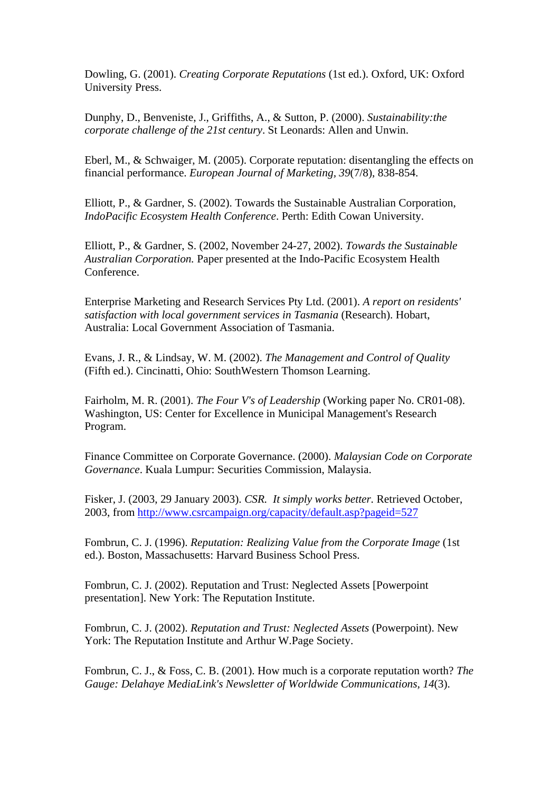Dowling, G. (2001). *Creating Corporate Reputations* (1st ed.). Oxford, UK: Oxford University Press.

Dunphy, D., Benveniste, J., Griffiths, A., & Sutton, P. (2000). *Sustainability:the corporate challenge of the 21st century*. St Leonards: Allen and Unwin.

Eberl, M., & Schwaiger, M. (2005). Corporate reputation: disentangling the effects on financial performance. *European Journal of Marketing, 39*(7/8), 838-854.

Elliott, P., & Gardner, S. (2002). Towards the Sustainable Australian Corporation, *IndoPacific Ecosystem Health Conference*. Perth: Edith Cowan University.

Elliott, P., & Gardner, S. (2002, November 24-27, 2002). *Towards the Sustainable Australian Corporation.* Paper presented at the Indo-Pacific Ecosystem Health Conference.

Enterprise Marketing and Research Services Pty Ltd. (2001). *A report on residents' satisfaction with local government services in Tasmania* (Research). Hobart, Australia: Local Government Association of Tasmania.

Evans, J. R., & Lindsay, W. M. (2002). *The Management and Control of Quality* (Fifth ed.). Cincinatti, Ohio: SouthWestern Thomson Learning.

Fairholm, M. R. (2001). *The Four V's of Leadership* (Working paper No. CR01-08). Washington, US: Center for Excellence in Municipal Management's Research Program.

Finance Committee on Corporate Governance. (2000). *Malaysian Code on Corporate Governance*. Kuala Lumpur: Securities Commission, Malaysia.

Fisker, J. (2003, 29 January 2003). *CSR. It simply works better.* Retrieved October, 2003, from<http://www.csrcampaign.org/capacity/default.asp?pageid=527>

Fombrun, C. J. (1996). *Reputation: Realizing Value from the Corporate Image* (1st ed.). Boston, Massachusetts: Harvard Business School Press.

Fombrun, C. J. (2002). Reputation and Trust: Neglected Assets [Powerpoint presentation]. New York: The Reputation Institute.

Fombrun, C. J. (2002). *Reputation and Trust: Neglected Assets* (Powerpoint). New York: The Reputation Institute and Arthur W.Page Society.

Fombrun, C. J., & Foss, C. B. (2001). How much is a corporate reputation worth? *The Gauge: Delahaye MediaLink's Newsletter of Worldwide Communications, 14*(3).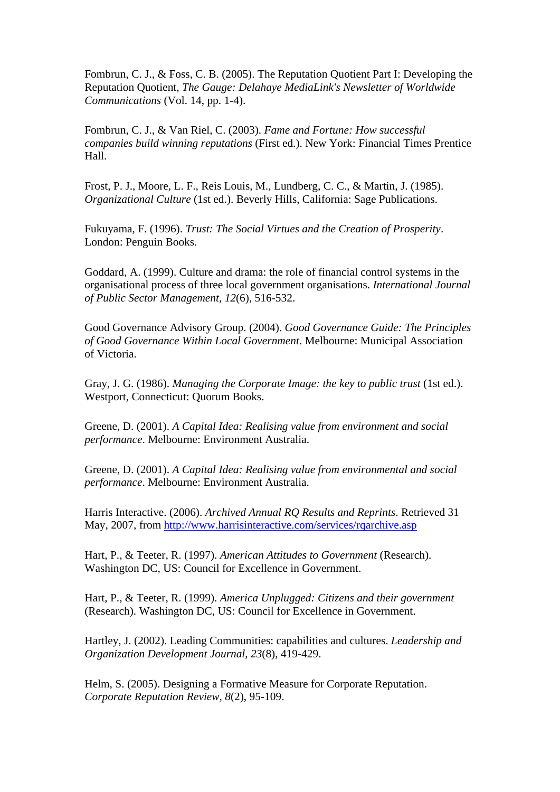Fombrun, C. J., & Foss, C. B. (2005). The Reputation Quotient Part I: Developing the Reputation Quotient, *The Gauge: Delahaye MediaLink's Newsletter of Worldwide Communications* (Vol. 14, pp. 1-4).

Fombrun, C. J., & Van Riel, C. (2003). *Fame and Fortune: How successful companies build winning reputations* (First ed.). New York: Financial Times Prentice Hall.

Frost, P. J., Moore, L. F., Reis Louis, M., Lundberg, C. C., & Martin, J. (1985). *Organizational Culture* (1st ed.). Beverly Hills, California: Sage Publications.

Fukuyama, F. (1996). *Trust: The Social Virtues and the Creation of Prosperity*. London: Penguin Books.

Goddard, A. (1999). Culture and drama: the role of financial control systems in the organisational process of three local government organisations. *International Journal of Public Sector Management, 12*(6), 516-532.

Good Governance Advisory Group. (2004). *Good Governance Guide: The Principles of Good Governance Within Local Government*. Melbourne: Municipal Association of Victoria.

Gray, J. G. (1986). *Managing the Corporate Image: the key to public trust* (1st ed.). Westport, Connecticut: Quorum Books.

Greene, D. (2001). *A Capital Idea: Realising value from environment and social performance*. Melbourne: Environment Australia.

Greene, D. (2001). *A Capital Idea: Realising value from environmental and social performance*. Melbourne: Environment Australia.

Harris Interactive. (2006). *Archived Annual RQ Results and Reprints*. Retrieved 31 May, 2007, from<http://www.harrisinteractive.com/services/rqarchive.asp>

Hart, P., & Teeter, R. (1997). *American Attitudes to Government* (Research). Washington DC, US: Council for Excellence in Government.

Hart, P., & Teeter, R. (1999). *America Unplugged: Citizens and their government* (Research). Washington DC, US: Council for Excellence in Government.

Hartley, J. (2002). Leading Communities: capabilities and cultures. *Leadership and Organization Development Journal, 23*(8), 419-429.

Helm, S. (2005). Designing a Formative Measure for Corporate Reputation. *Corporate Reputation Review, 8*(2), 95-109.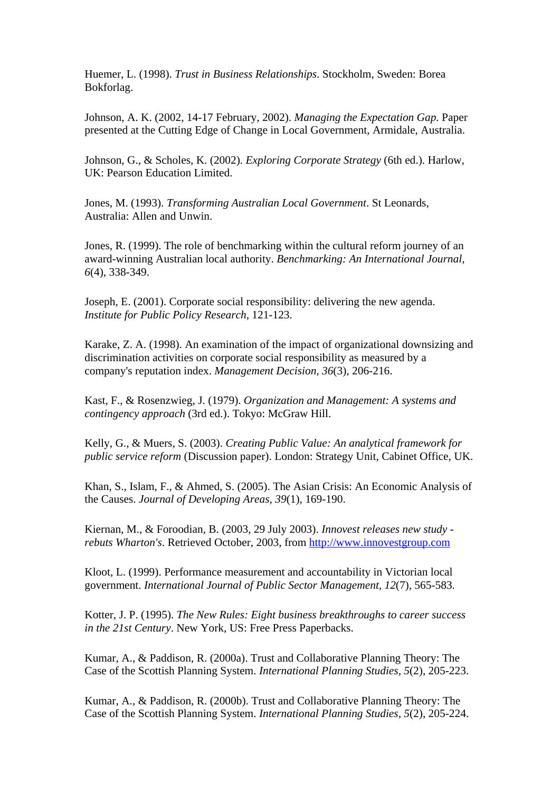Huemer, L. (1998). *Trust in Business Relationships*. Stockholm, Sweden: Borea Bokforlag.

Johnson, A. K. (2002, 14-17 February, 2002). *Managing the Expectation Gap.* Paper presented at the Cutting Edge of Change in Local Government, Armidale, Australia.

Johnson, G., & Scholes, K. (2002). *Exploring Corporate Strategy* (6th ed.). Harlow, UK: Pearson Education Limited.

Jones, M. (1993). *Transforming Australian Local Government*. St Leonards, Australia: Allen and Unwin.

Jones, R. (1999). The role of benchmarking within the cultural reform journey of an award-winning Australian local authority. *Benchmarking: An International Journal, 6*(4), 338-349.

Joseph, E. (2001). Corporate social responsibility: delivering the new agenda. *Institute for Public Policy Research*, 121-123.

Karake, Z. A. (1998). An examination of the impact of organizational downsizing and discrimination activities on corporate social responsibility as measured by a company's reputation index. *Management Decision, 36*(3), 206-216.

Kast, F., & Rosenzwieg, J. (1979). *Organization and Management: A systems and contingency approach* (3rd ed.). Tokyo: McGraw Hill.

Kelly, G., & Muers, S. (2003). *Creating Public Value: An analytical framework for public service reform* (Discussion paper). London: Strategy Unit, Cabinet Office, UK.

Khan, S., Islam, F., & Ahmed, S. (2005). The Asian Crisis: An Economic Analysis of the Causes. *Journal of Developing Areas, 39*(1), 169-190.

Kiernan, M., & Foroodian, B. (2003, 29 July 2003). *Innovest releases new study rebuts Wharton's*. Retrieved October, 2003, from [http://www.innovestgroup.com](http://www.innovestgroup.com/)

Kloot, L. (1999). Performance measurement and accountability in Victorian local government. *International Journal of Public Sector Management, 12*(7), 565-583.

Kotter, J. P. (1995). *The New Rules: Eight business breakthroughs to career success in the 21st Century*. New York, US: Free Press Paperbacks.

Kumar, A., & Paddison, R. (2000a). Trust and Collaborative Planning Theory: The Case of the Scottish Planning System. *International Planning Studies, 5*(2), 205-223.

Kumar, A., & Paddison, R. (2000b). Trust and Collaborative Planning Theory: The Case of the Scottish Planning System. *International Planning Studies, 5*(2), 205-224.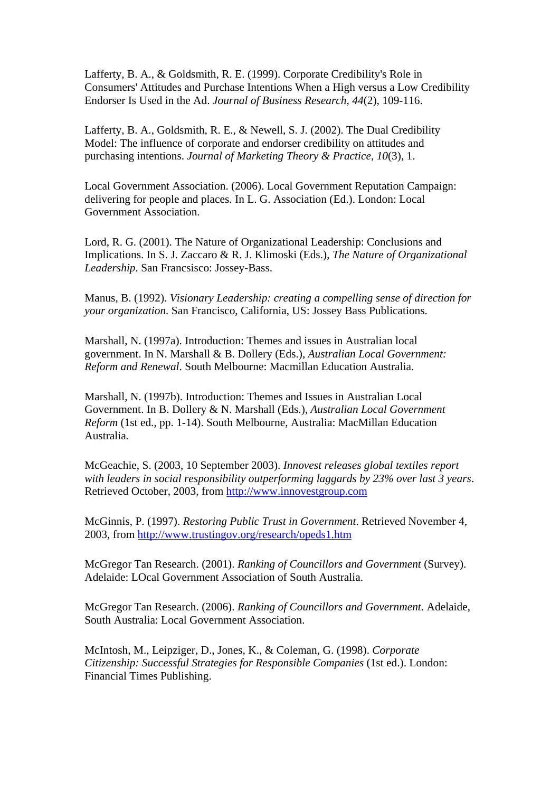Lafferty, B. A., & Goldsmith, R. E. (1999). Corporate Credibility's Role in Consumers' Attitudes and Purchase Intentions When a High versus a Low Credibility Endorser Is Used in the Ad. *Journal of Business Research, 44*(2), 109-116.

Lafferty, B. A., Goldsmith, R. E., & Newell, S. J. (2002). The Dual Credibility Model: The influence of corporate and endorser credibility on attitudes and purchasing intentions. *Journal of Marketing Theory & Practice, 10*(3), 1.

Local Government Association. (2006). Local Government Reputation Campaign: delivering for people and places. In L. G. Association (Ed.). London: Local Government Association.

Lord, R. G. (2001). The Nature of Organizational Leadership: Conclusions and Implications. In S. J. Zaccaro & R. J. Klimoski (Eds.), *The Nature of Organizational Leadership*. San Francsisco: Jossey-Bass.

Manus, B. (1992). *Visionary Leadership: creating a compelling sense of direction for your organization*. San Francisco, California, US: Jossey Bass Publications.

Marshall, N. (1997a). Introduction: Themes and issues in Australian local government. In N. Marshall & B. Dollery (Eds.), *Australian Local Government: Reform and Renewal*. South Melbourne: Macmillan Education Australia.

Marshall, N. (1997b). Introduction: Themes and Issues in Australian Local Government. In B. Dollery & N. Marshall (Eds.), *Australian Local Government Reform* (1st ed., pp. 1-14). South Melbourne, Australia: MacMillan Education Australia.

McGeachie, S. (2003, 10 September 2003). *Innovest releases global textiles report with leaders in social responsibility outperforming laggards by 23% over last 3 years*. Retrieved October, 2003, from [http://www.innovestgroup.com](http://www.innovestgroup.com/)

McGinnis, P. (1997). *Restoring Public Trust in Government*. Retrieved November 4, 2003, from<http://www.trustingov.org/research/opeds1.htm>

McGregor Tan Research. (2001). *Ranking of Councillors and Government* (Survey). Adelaide: LOcal Government Association of South Australia.

McGregor Tan Research. (2006). *Ranking of Councillors and Government*. Adelaide, South Australia: Local Government Association.

McIntosh, M., Leipziger, D., Jones, K., & Coleman, G. (1998). *Corporate Citizenship: Successful Strategies for Responsible Companies* (1st ed.). London: Financial Times Publishing.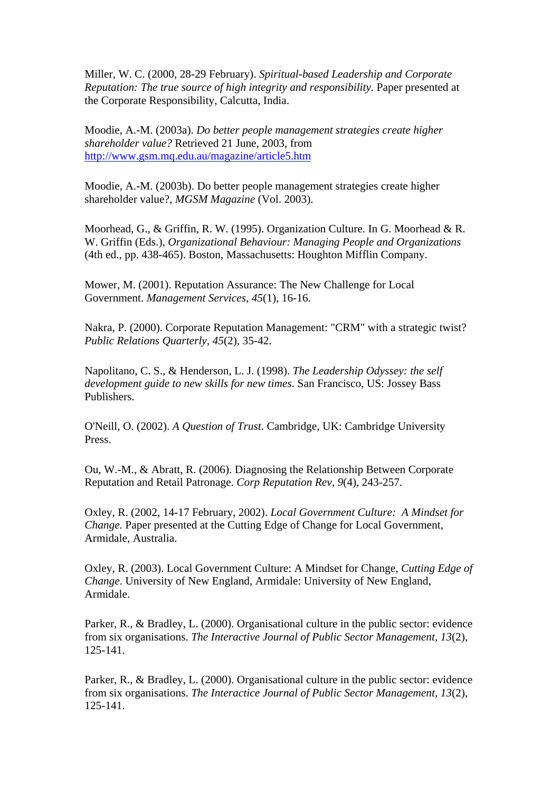Miller, W. C. (2000, 28-29 February). *Spiritual-based Leadership and Corporate Reputation: The true source of high integrity and responsibility.* Paper presented at the Corporate Responsibility, Calcutta, India.

Moodie, A.-M. (2003a). *Do better people management strategies create higher shareholder value?* Retrieved 21 June, 2003, from <http://www.gsm.mq.edu.au/magazine/article5.htm>

Moodie, A.-M. (2003b). Do better people management strategies create higher shareholder value?, *MGSM Magazine* (Vol. 2003).

Moorhead, G., & Griffin, R. W. (1995). Organization Culture. In G. Moorhead & R. W. Griffin (Eds.), *Organizational Behaviour: Managing People and Organizations* (4th ed., pp. 438-465). Boston, Massachusetts: Houghton Mifflin Company.

Mower, M. (2001). Reputation Assurance: The New Challenge for Local Government. *Management Services, 45*(1), 16-16.

Nakra, P. (2000). Corporate Reputation Management: "CRM" with a strategic twist? *Public Relations Quarterly, 45*(2), 35-42.

Napolitano, C. S., & Henderson, L. J. (1998). *The Leadership Odyssey: the self development guide to new skills for new times*. San Francisco, US: Jossey Bass Publishers.

O'Neill, O. (2002). *A Question of Trust*. Cambridge, UK: Cambridge University Press.

Ou, W.-M., & Abratt, R. (2006). Diagnosing the Relationship Between Corporate Reputation and Retail Patronage. *Corp Reputation Rev, 9*(4), 243-257.

Oxley, R. (2002, 14-17 February, 2002). *Local Government Culture: A Mindset for Change.* Paper presented at the Cutting Edge of Change for Local Government, Armidale, Australia.

Oxley, R. (2003). Local Government Culture: A Mindset for Change, *Cutting Edge of Change*. University of New England, Armidale: University of New England, Armidale.

Parker, R., & Bradley, L. (2000). Organisational culture in the public sector: evidence from six organisations. *The Interactive Journal of Public Sector Management, 13*(2), 125-141.

Parker, R., & Bradley, L. (2000). Organisational culture in the public sector: evidence from six organisations. *The Interactice Journal of Public Sector Management, 13*(2), 125-141.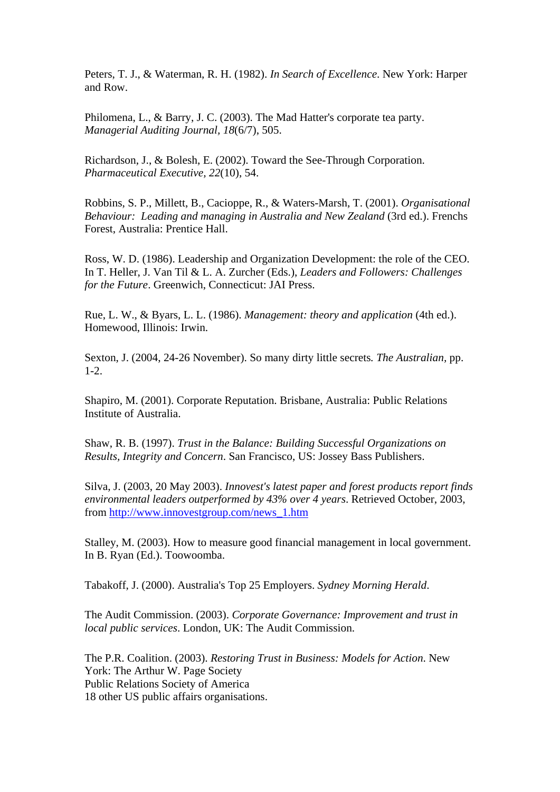Peters, T. J., & Waterman, R. H. (1982). *In Search of Excellence*. New York: Harper and Row.

Philomena, L., & Barry, J. C. (2003). The Mad Hatter's corporate tea party. *Managerial Auditing Journal, 18*(6/7), 505.

Richardson, J., & Bolesh, E. (2002). Toward the See-Through Corporation. *Pharmaceutical Executive, 22*(10), 54.

Robbins, S. P., Millett, B., Cacioppe, R., & Waters-Marsh, T. (2001). *Organisational Behaviour: Leading and managing in Australia and New Zealand* (3rd ed.). Frenchs Forest, Australia: Prentice Hall.

Ross, W. D. (1986). Leadership and Organization Development: the role of the CEO. In T. Heller, J. Van Til & L. A. Zurcher (Eds.), *Leaders and Followers: Challenges for the Future*. Greenwich, Connecticut: JAI Press.

Rue, L. W., & Byars, L. L. (1986). *Management: theory and application* (4th ed.). Homewood, Illinois: Irwin.

Sexton, J. (2004, 24-26 November). So many dirty little secrets*. The Australian,* pp. 1-2.

Shapiro, M. (2001). Corporate Reputation. Brisbane, Australia: Public Relations Institute of Australia.

Shaw, R. B. (1997). *Trust in the Balance: Building Successful Organizations on Results, Integrity and Concern*. San Francisco, US: Jossey Bass Publishers.

Silva, J. (2003, 20 May 2003). *Innovest's latest paper and forest products report finds environmental leaders outperformed by 43% over 4 years*. Retrieved October, 2003, from [http://www.innovestgroup.com/news\\_1.htm](http://www.innovestgroup.com/news_1.htm)

Stalley, M. (2003). How to measure good financial management in local government. In B. Ryan (Ed.). Toowoomba.

Tabakoff, J. (2000). Australia's Top 25 Employers. *Sydney Morning Herald*.

The Audit Commission. (2003). *Corporate Governance: Improvement and trust in local public services*. London, UK: The Audit Commission.

The P.R. Coalition. (2003). *Restoring Trust in Business: Models for Action*. New York: The Arthur W. Page Society Public Relations Society of America 18 other US public affairs organisations.